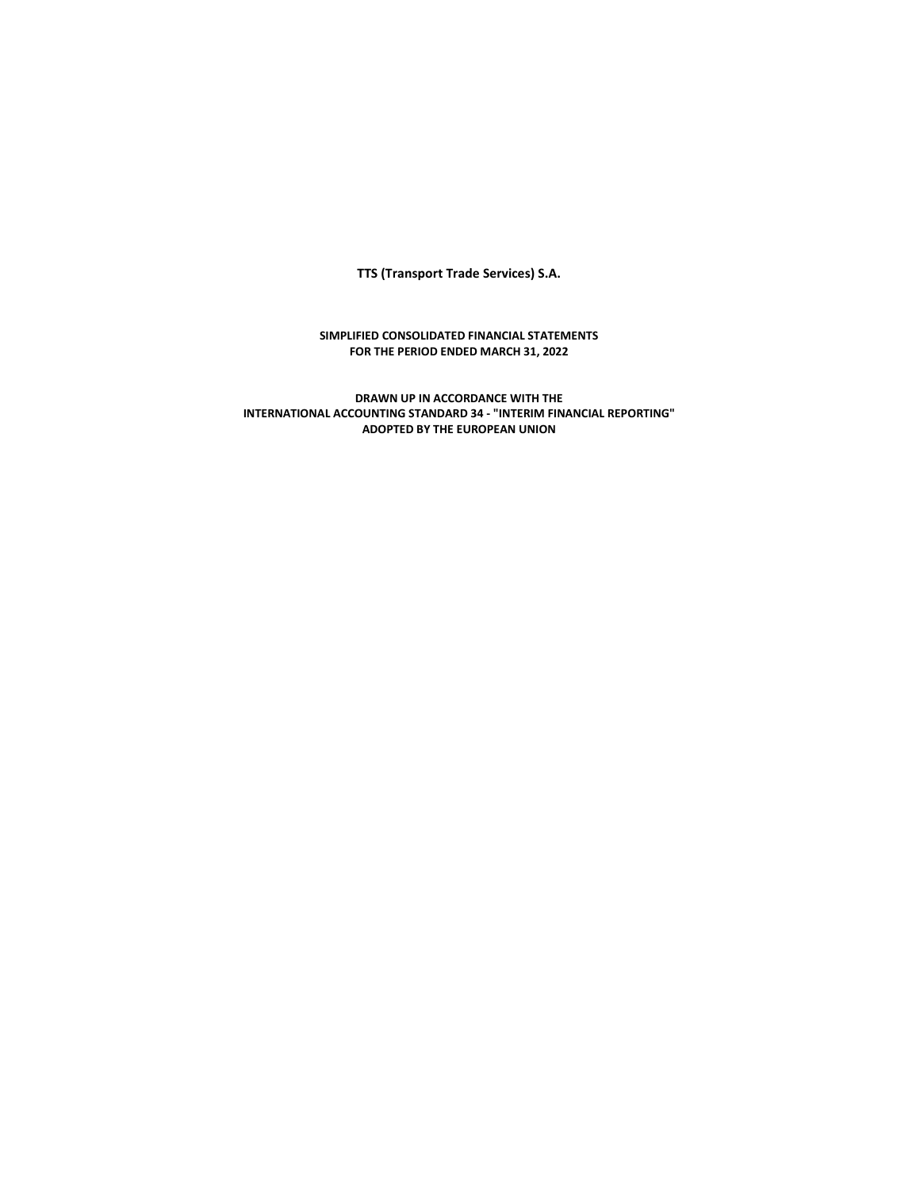**TTS (Transport Trade Services) S.A.** 

## **SIMPLIFIED CONSOLIDATED FINANCIAL STATEMENTS FOR THE PERIOD ENDED MARCH 31, 2022**

**DRAWN UP IN ACCORDANCE WITH THE INTERNATIONAL ACCOUNTING STANDARD 34 - "INTERIM FINANCIAL REPORTING" ADOPTED BY THE EUROPEAN UNION**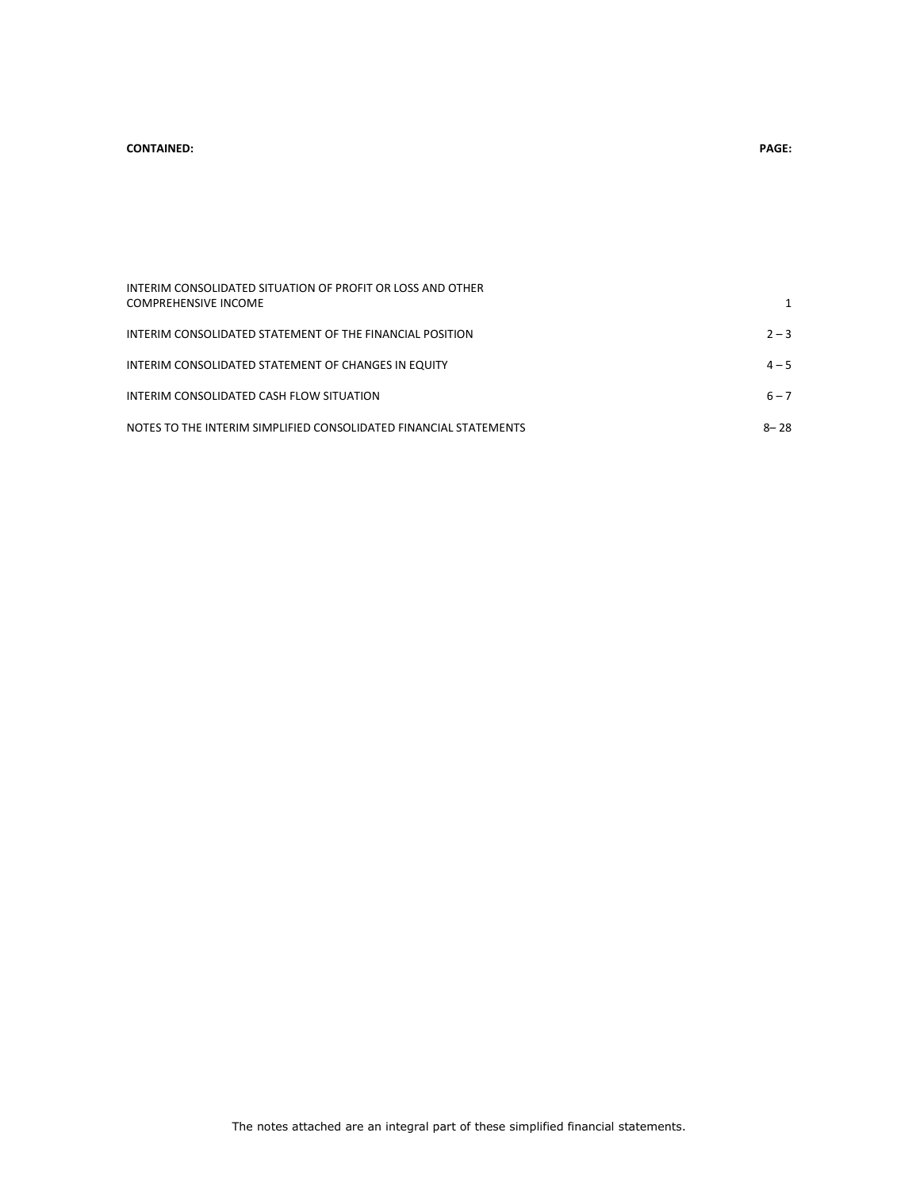#### **CONTAINED: PAGE:**

| INTERIM CONSOLIDATED SITUATION OF PROFIT OR LOSS AND OTHER        |          |
|-------------------------------------------------------------------|----------|
| <b>COMPREHENSIVE INCOME</b>                                       |          |
| INTERIM CONSOLIDATED STATEMENT OF THE FINANCIAL POSITION          | $2 - 3$  |
| INTERIM CONSOLIDATED STATEMENT OF CHANGES IN EQUITY               | $4 - 5$  |
| INTERIM CONSOLIDATED CASH FLOW SITUATION                          | $6 - 7$  |
| NOTES TO THE INTERIM SIMPLIFIED CONSOLIDATED FINANCIAL STATEMENTS | $8 - 28$ |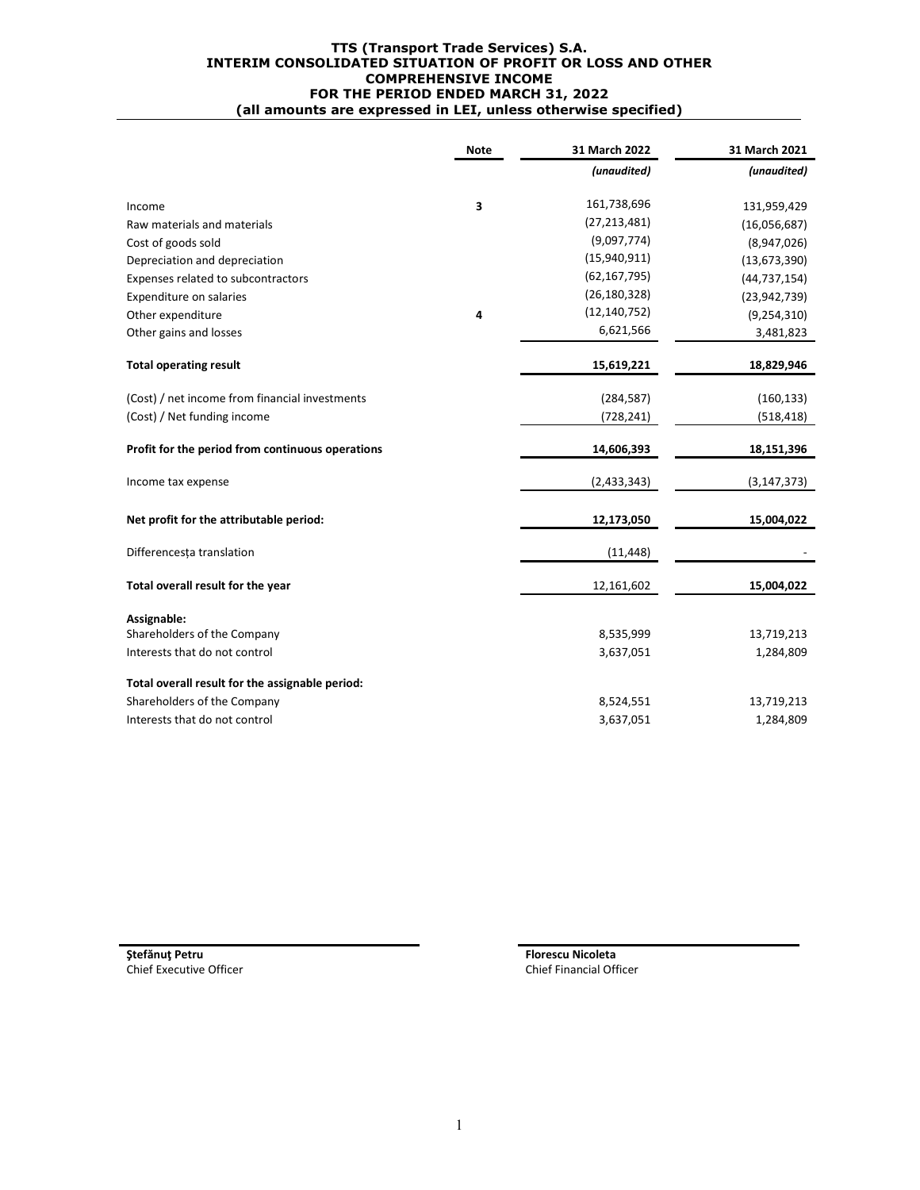#### **TTS (Transport Trade Services) S.A. INTERIM CONSOLIDATED SITUATION OF PROFIT OR LOSS AND OTHER COMPREHENSIVE INCOME FOR THE PERIOD ENDED MARCH 31, 2022 (all amounts are expressed in LEI, unless otherwise specified)**

|                                                  | <b>Note</b> | 31 March 2022  | 31 March 2021  |
|--------------------------------------------------|-------------|----------------|----------------|
|                                                  |             | (unaudited)    | (unaudited)    |
| Income                                           | 3           | 161,738,696    | 131,959,429    |
| Raw materials and materials                      |             | (27, 213, 481) | (16,056,687)   |
| Cost of goods sold                               |             | (9,097,774)    | (8,947,026)    |
| Depreciation and depreciation                    |             | (15,940,911)   | (13,673,390)   |
| Expenses related to subcontractors               |             | (62, 167, 795) | (44, 737, 154) |
| Expenditure on salaries                          |             | (26, 180, 328) | (23, 942, 739) |
| Other expenditure                                | 4           | (12, 140, 752) | (9, 254, 310)  |
| Other gains and losses                           |             | 6,621,566      | 3,481,823      |
| <b>Total operating result</b>                    |             | 15,619,221     | 18,829,946     |
| (Cost) / net income from financial investments   |             | (284, 587)     | (160, 133)     |
| (Cost) / Net funding income                      |             | (728, 241)     | (518, 418)     |
| Profit for the period from continuous operations |             | 14,606,393     | 18,151,396     |
| Income tax expense                               |             | (2,433,343)    | (3, 147, 373)  |
| Net profit for the attributable period:          |             | 12,173,050     | 15,004,022     |
| Differencesta translation                        |             | (11, 448)      |                |
| Total overall result for the year                |             | 12,161,602     | 15,004,022     |
| Assignable:                                      |             |                |                |
| Shareholders of the Company                      |             | 8,535,999      | 13,719,213     |
| Interests that do not control                    |             | 3,637,051      | 1,284,809      |
| Total overall result for the assignable period:  |             |                |                |
| Shareholders of the Company                      |             | 8,524,551      | 13,719,213     |
| Interests that do not control                    |             | 3,637,051      | 1,284,809      |

**Stefănuţ Petru Florescu Nicoleta**<br> **Florescu Nicoleta**<br> **Florescu Nicoleta**<br> **Florescu Nicoleta**<br> **Florescu Nicoleta** 

Chief Financial Officer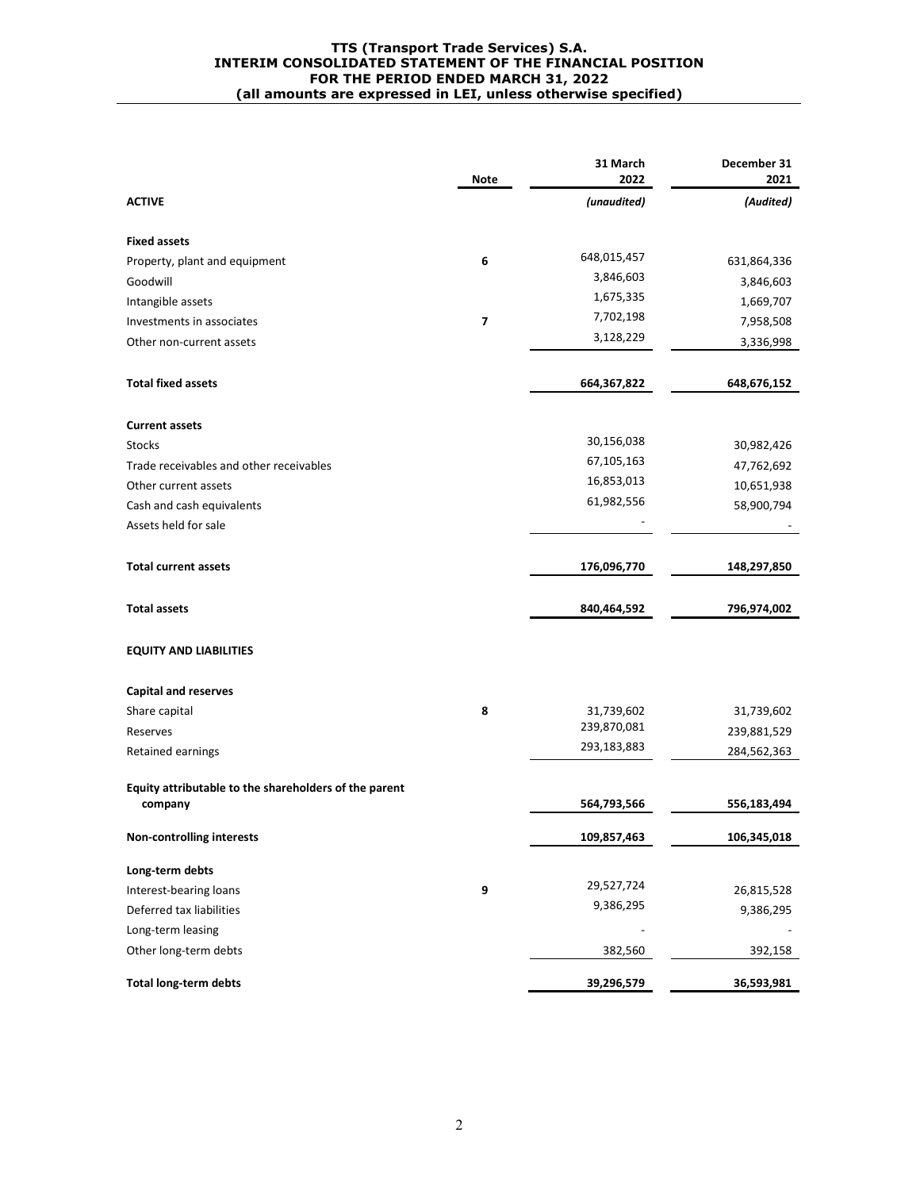#### **TTS (Transport Trade Services) S.A. INTERIM CONSOLIDATED STATEMENT OF THE FINANCIAL POSITION FOR THE PERIOD ENDED MARCH 31, 2022 (all amounts are expressed in LEI, unless otherwise specified)**

|                                                       | Note | 31 March<br>2022 | December 31<br>2021 |
|-------------------------------------------------------|------|------------------|---------------------|
| <b>ACTIVE</b>                                         |      | (unaudited)      | (Audited)           |
| <b>Fixed assets</b>                                   |      |                  |                     |
| Property, plant and equipment                         | 6    | 648,015,457      | 631,864,336         |
| Goodwill                                              |      | 3,846,603        | 3,846,603           |
| Intangible assets                                     |      | 1,675,335        | 1,669,707           |
| Investments in associates                             | 7    | 7,702,198        | 7,958,508           |
| Other non-current assets                              |      | 3,128,229        | 3,336,998           |
| <b>Total fixed assets</b>                             |      | 664,367,822      | 648,676,152         |
| <b>Current assets</b>                                 |      |                  |                     |
| <b>Stocks</b>                                         |      | 30,156,038       | 30,982,426          |
| Trade receivables and other receivables               |      | 67, 105, 163     | 47,762,692          |
| Other current assets                                  |      | 16,853,013       | 10,651,938          |
| Cash and cash equivalents                             |      | 61,982,556       | 58,900,794          |
| Assets held for sale                                  |      |                  |                     |
| <b>Total current assets</b>                           |      | 176,096,770      | 148,297,850         |
| <b>Total assets</b>                                   |      | 840,464,592      | 796,974,002         |
| <b>EQUITY AND LIABILITIES</b>                         |      |                  |                     |
| <b>Capital and reserves</b>                           |      |                  |                     |
| Share capital                                         | 8    | 31,739,602       | 31,739,602          |
| Reserves                                              |      | 239,870,081      | 239,881,529         |
| Retained earnings                                     |      | 293,183,883      | 284,562,363         |
| Equity attributable to the shareholders of the parent |      |                  |                     |
| company                                               |      | 564,793,566      | 556,183,494         |
| <b>Non-controlling interests</b>                      |      | 109,857,463      | 106,345,018         |
| Long-term debts                                       |      |                  |                     |
| Interest-bearing loans                                | 9    | 29,527,724       | 26,815,528          |
| Deferred tax liabilities                              |      | 9,386,295        | 9,386,295           |
| Long-term leasing                                     |      |                  |                     |
| Other long-term debts                                 |      | 382,560          | 392,158             |
| <b>Total long-term debts</b>                          |      | 39,296,579       | 36,593,981          |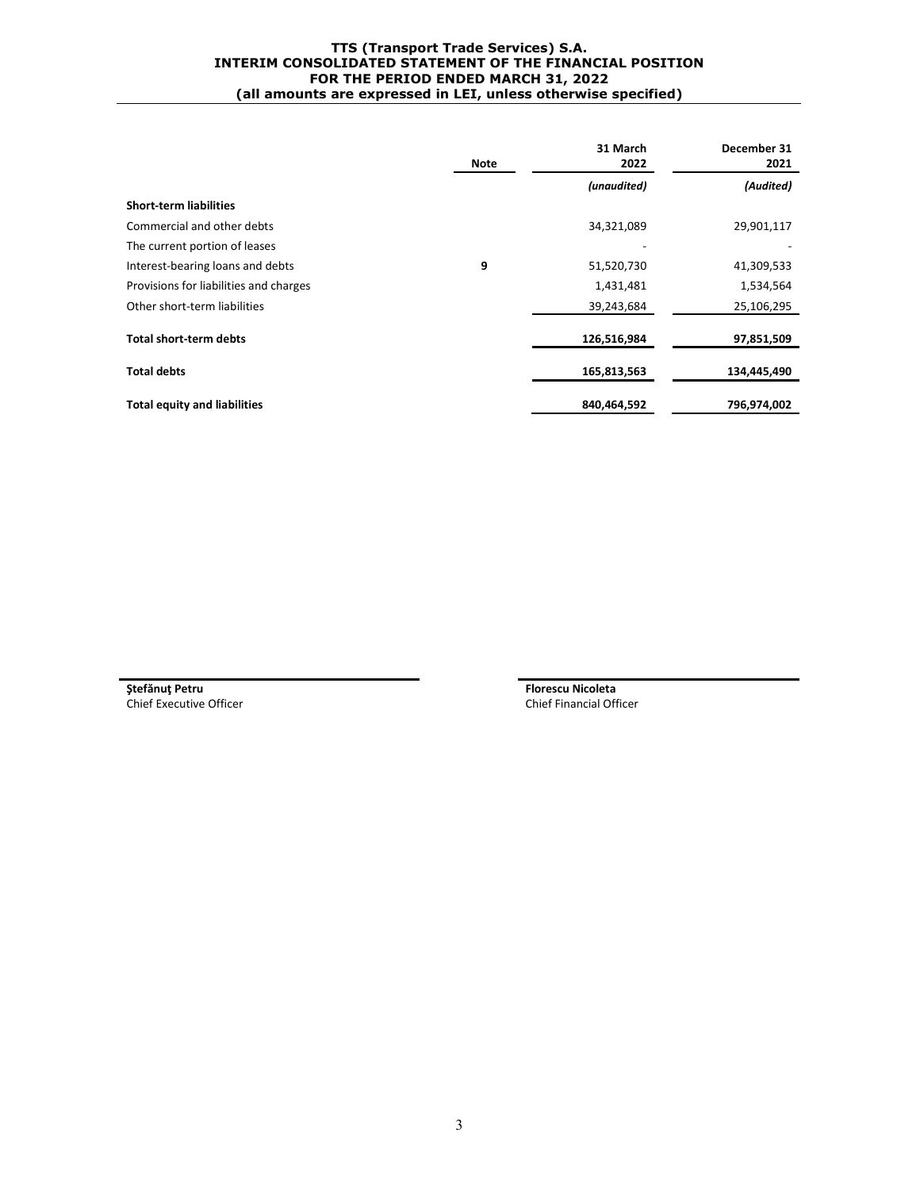#### **TTS (Transport Trade Services) S.A. INTERIM CONSOLIDATED STATEMENT OF THE FINANCIAL POSITION FOR THE PERIOD ENDED MARCH 31, 2022 (all amounts are expressed in LEI, unless otherwise specified)**

|                                        | Note | 31 March<br>2022 | December 31<br>2021 |
|----------------------------------------|------|------------------|---------------------|
|                                        |      | (unaudited)      | (Audited)           |
| <b>Short-term liabilities</b>          |      |                  |                     |
| Commercial and other debts             |      | 34,321,089       | 29,901,117          |
| The current portion of leases          |      |                  |                     |
| Interest-bearing loans and debts       | 9    | 51,520,730       | 41,309,533          |
| Provisions for liabilities and charges |      | 1,431,481        | 1,534,564           |
| Other short-term liabilities           |      | 39,243,684       | 25,106,295          |
| <b>Total short-term debts</b>          |      | 126,516,984      | 97,851,509          |
| <b>Total debts</b>                     |      | 165,813,563      | 134,445,490         |
| <b>Total equity and liabilities</b>    |      | 840,464,592      | 796,974,002         |

**Ştefănuţ Petru Florescu Nicoleta** Chief Executive Officer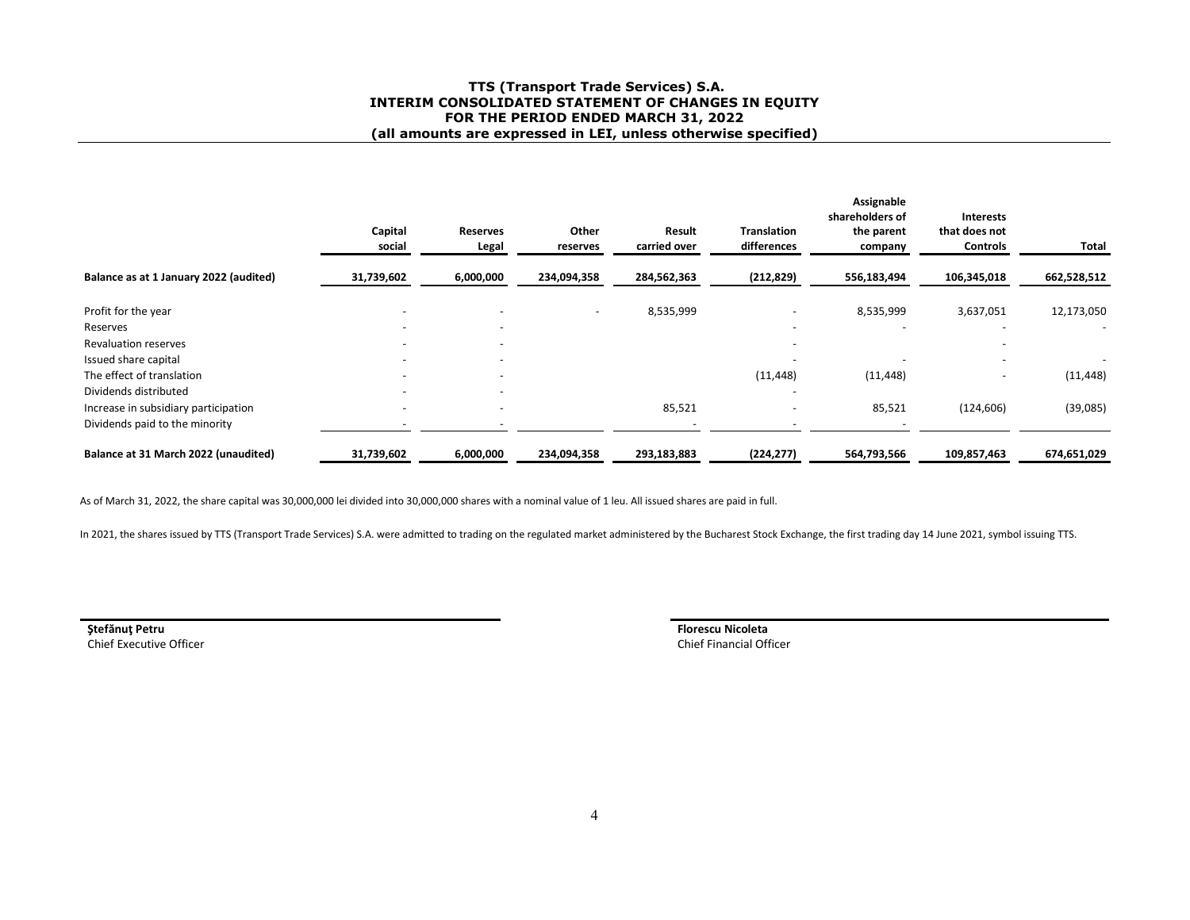#### **TTS (Transport Trade Services) S.A. INTERIM CONSOLIDATED STATEMENT OF CHANGES IN EQUITYFOR THE PERIOD ENDED MARCH 31, 2022 (all amounts are expressed in LEI, unless otherwise specified)**

|                                        | Capital<br>social | <b>Reserves</b><br>Legal | Other<br>reserves        | Result<br>carried over | <b>Translation</b><br>differences | Assignable<br>shareholders of<br>the parent<br>company | <b>Interests</b><br>that does not<br><b>Controls</b> | Total       |
|----------------------------------------|-------------------|--------------------------|--------------------------|------------------------|-----------------------------------|--------------------------------------------------------|------------------------------------------------------|-------------|
| Balance as at 1 January 2022 (audited) | 31,739,602        | 6,000,000                | 234,094,358              | 284,562,363            | (212, 829)                        | 556,183,494                                            | 106,345,018                                          | 662,528,512 |
| Profit for the year                    |                   |                          | $\overline{\phantom{a}}$ | 8,535,999              |                                   | 8,535,999                                              | 3,637,051                                            | 12,173,050  |
| Reserves                               | -                 | $\overline{\phantom{0}}$ |                          |                        |                                   |                                                        |                                                      |             |
| <b>Revaluation reserves</b>            |                   | $\overline{\phantom{a}}$ |                          |                        |                                   |                                                        |                                                      |             |
| Issued share capital                   |                   | $\overline{\phantom{a}}$ |                          |                        |                                   |                                                        |                                                      |             |
| The effect of translation              |                   | $\overline{\phantom{a}}$ |                          |                        | (11, 448)                         | (11, 448)                                              |                                                      | (11, 448)   |
| Dividends distributed                  | -                 | $\overline{\phantom{a}}$ |                          |                        |                                   |                                                        |                                                      |             |
| Increase in subsidiary participation   |                   | $\overline{\phantom{a}}$ |                          | 85,521                 |                                   | 85,521                                                 | (124, 606)                                           | (39,085)    |
| Dividends paid to the minority         |                   |                          |                          |                        |                                   |                                                        |                                                      |             |
| Balance at 31 March 2022 (unaudited)   | 31,739,602        | 6,000,000                | 234,094,358              | 293,183,883            | (224, 277)                        | 564,793,566                                            | 109,857,463                                          | 674,651,029 |

As of March 31, 2022, the share capital was 30,000,000 lei divided into 30,000,000 shares with a nominal value of 1 leu. All issued shares are paid in full.

In 2021, the shares issued by TTS (Transport Trade Services) S.A. were admitted to trading on the regulated market administered by the Bucharest Stock Exchange, the first trading day 14 June 2021, symbol issuing TTS.

**Ştefănuţ PetruStefănuț Petru Stefauti de Stefauti al Institutui al Institutui al Institutui al Institutui al Institutui al I<br>
Florescu Nicoleta<br>
Chief Executive Officer** 

Chief Financial Officer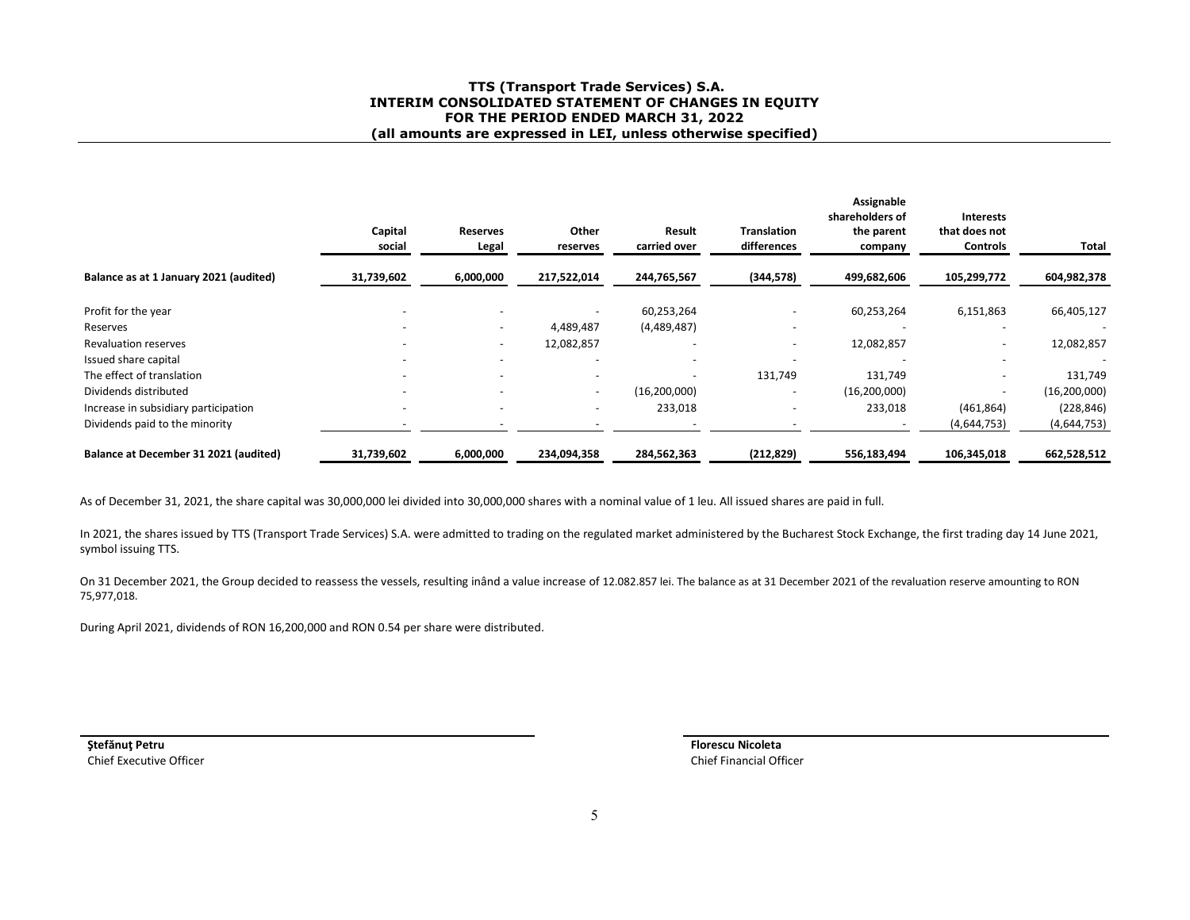#### **TTS (Transport Trade Services) S.A. INTERIM CONSOLIDATED STATEMENT OF CHANGES IN EQUITYFOR THE PERIOD ENDED MARCH 31, 2022 (all amounts are expressed in LEI, unless otherwise specified)**

|                                        | Capital<br>social        | <b>Reserves</b><br>Legal | Other<br>reserves        | Result<br>carried over   | <b>Translation</b><br>differences | Assignable<br>shareholders of<br>the parent<br>company | <b>Interests</b><br>that does not<br><b>Controls</b> | Total          |
|----------------------------------------|--------------------------|--------------------------|--------------------------|--------------------------|-----------------------------------|--------------------------------------------------------|------------------------------------------------------|----------------|
| Balance as at 1 January 2021 (audited) | 31,739,602               | 6,000,000                | 217,522,014              | 244,765,567              | (344, 578)                        | 499,682,606                                            | 105,299,772                                          | 604,982,378    |
| Profit for the year                    |                          |                          |                          | 60,253,264               |                                   | 60,253,264                                             | 6,151,863                                            | 66,405,127     |
| Reserves                               | -                        | $\overline{\phantom{a}}$ | 4,489,487                | (4,489,487)              |                                   |                                                        |                                                      |                |
| <b>Revaluation reserves</b>            | -                        | $\overline{\phantom{a}}$ | 12,082,857               | $\overline{\phantom{a}}$ | $\overline{\phantom{0}}$          | 12,082,857                                             |                                                      | 12,082,857     |
| Issued share capital                   |                          |                          |                          |                          |                                   |                                                        |                                                      |                |
| The effect of translation              |                          |                          | $\overline{\phantom{a}}$ | $\overline{\phantom{a}}$ | 131,749                           | 131,749                                                |                                                      | 131,749        |
| Dividends distributed                  | $\overline{\phantom{a}}$ | $\overline{\phantom{a}}$ | $\overline{\phantom{a}}$ | (16, 200, 000)           |                                   | (16, 200, 000)                                         |                                                      | (16, 200, 000) |
| Increase in subsidiary participation   |                          | $\overline{\phantom{a}}$ | $\overline{\phantom{a}}$ | 233,018                  |                                   | 233,018                                                | (461, 864)                                           | (228, 846)     |
| Dividends paid to the minority         |                          |                          |                          |                          |                                   |                                                        | (4,644,753)                                          | (4,644,753)    |
| Balance at December 31 2021 (audited)  | 31,739,602               | 6,000,000                | 234,094,358              | 284,562,363              | (212, 829)                        | 556,183,494                                            | 106,345,018                                          | 662,528,512    |

As of December 31, 2021, the share capital was 30,000,000 lei divided into 30,000,000 shares with a nominal value of 1 leu. All issued shares are paid in full.

In 2021, the shares issued by TTS (Transport Trade Services) S.A. were admitted to trading on the regulated market administered by the Bucharest Stock Exchange, the first trading day 14 June 2021, symbol issuing TTS.

On 31 December 2021, the Group decided to reassess the vessels, resulting inând a value increase of 12.082.857 lei. The balance as at 31 December 2021 of the revaluation reserve amounting to RON 75,977,018.

During April 2021, dividends of RON 16,200,000 and RON 0.54 per share were distributed.

**Ştefănuţ Petru**Chief Executive Officer Chief Executive Officer Chief Financial Officer Chief Financial Officer

**Florescu Nicoleta**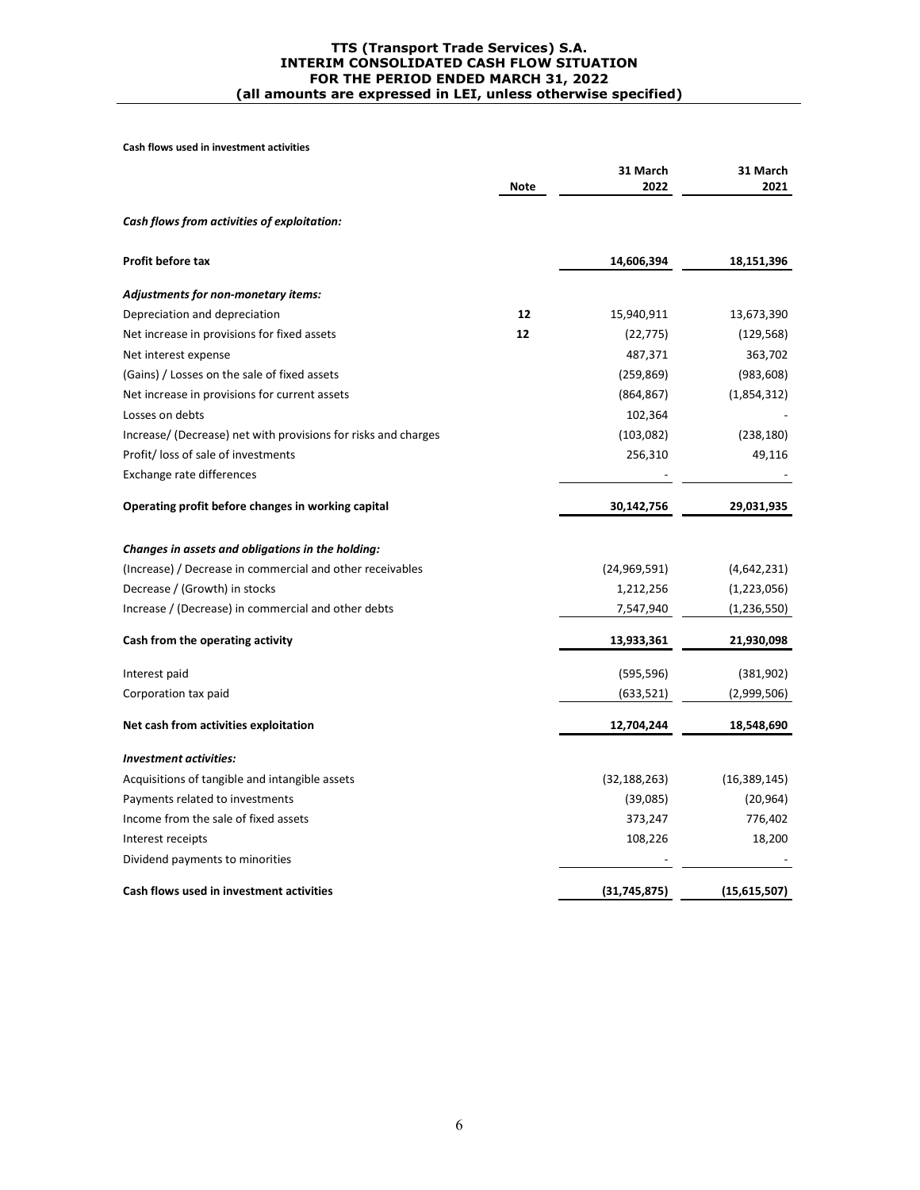#### **TTS (Transport Trade Services) S.A. INTERIM CONSOLIDATED CASH FLOW SITUATION FOR THE PERIOD ENDED MARCH 31, 2022 (all amounts are expressed in LEI, unless otherwise specified)**

**Cash flows used in investment activities** 

|                                                                | Note | 31 March<br>2022 | 31 March<br>2021 |
|----------------------------------------------------------------|------|------------------|------------------|
| Cash flows from activities of exploitation:                    |      |                  |                  |
| <b>Profit before tax</b>                                       |      | 14,606,394       | 18,151,396       |
| Adjustments for non-monetary items:                            |      |                  |                  |
| Depreciation and depreciation                                  | 12   | 15,940,911       | 13,673,390       |
| Net increase in provisions for fixed assets                    | 12   | (22, 775)        | (129, 568)       |
| Net interest expense                                           |      | 487,371          | 363,702          |
| (Gains) / Losses on the sale of fixed assets                   |      | (259, 869)       | (983, 608)       |
| Net increase in provisions for current assets                  |      | (864, 867)       | (1,854,312)      |
| Losses on debts                                                |      | 102,364          |                  |
| Increase/ (Decrease) net with provisions for risks and charges |      | (103,082)        | (238, 180)       |
| Profit/loss of sale of investments                             |      | 256,310          | 49,116           |
| Exchange rate differences                                      |      |                  |                  |
| Operating profit before changes in working capital             |      | 30,142,756       | 29,031,935       |
| Changes in assets and obligations in the holding:              |      |                  |                  |
| (Increase) / Decrease in commercial and other receivables      |      | (24,969,591)     | (4,642,231)      |
| Decrease / (Growth) in stocks                                  |      | 1,212,256        | (1,223,056)      |
| Increase / (Decrease) in commercial and other debts            |      | 7,547,940        | (1, 236, 550)    |
| Cash from the operating activity                               |      | 13,933,361       | 21,930,098       |
| Interest paid                                                  |      | (595, 596)       | (381, 902)       |
| Corporation tax paid                                           |      | (633,521)        | (2,999,506)      |
| Net cash from activities exploitation                          |      | 12,704,244       | 18,548,690       |
| <b>Investment activities:</b>                                  |      |                  |                  |
| Acquisitions of tangible and intangible assets                 |      | (32, 188, 263)   | (16, 389, 145)   |
| Payments related to investments                                |      | (39,085)         | (20, 964)        |
| Income from the sale of fixed assets                           |      | 373,247          | 776,402          |
| Interest receipts                                              |      | 108,226          | 18,200           |
| Dividend payments to minorities                                |      |                  |                  |
| Cash flows used in investment activities                       |      | (31, 745, 875)   | (15,615,507)     |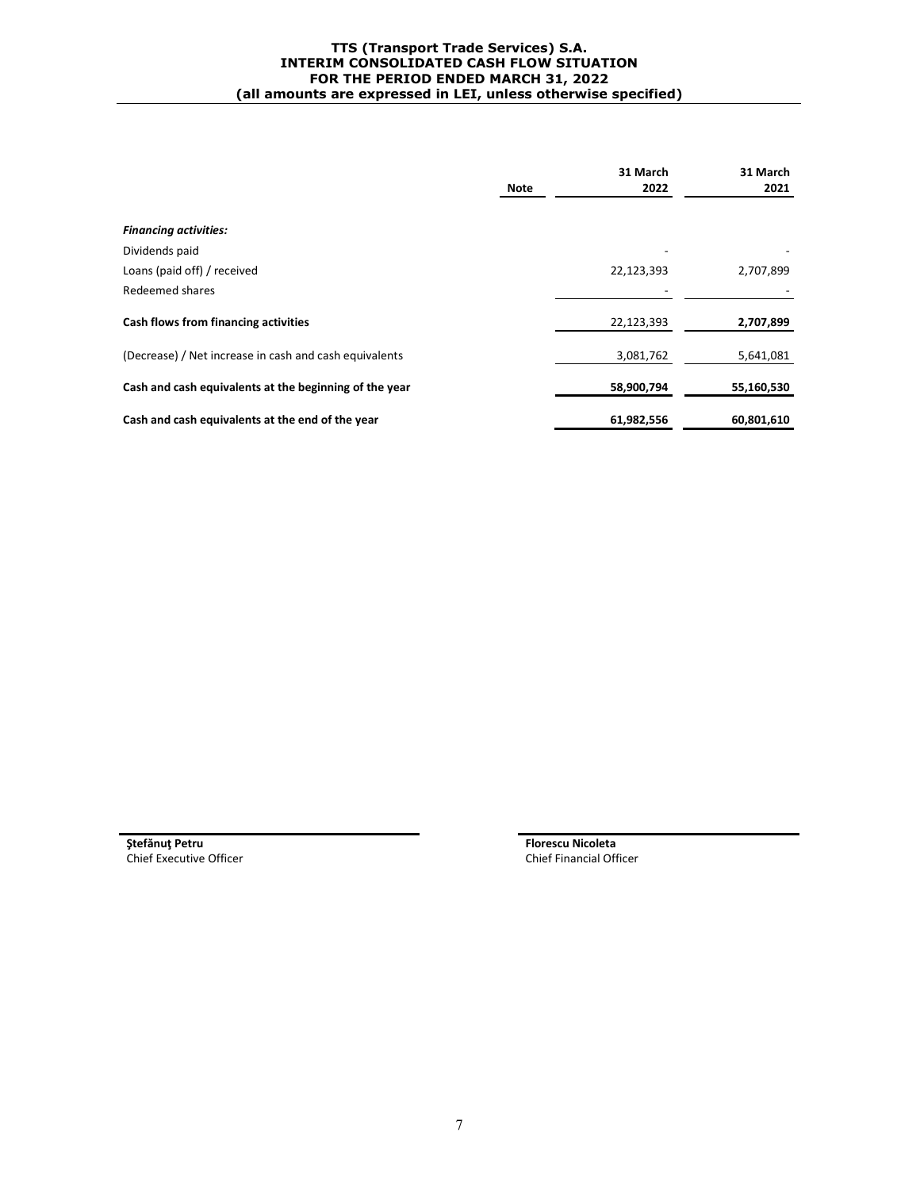#### **TTS (Transport Trade Services) S.A. INTERIM CONSOLIDATED CASH FLOW SITUATION FOR THE PERIOD ENDED MARCH 31, 2022 (all amounts are expressed in LEI, unless otherwise specified)**

|                                                        | <b>Note</b> | 31 March<br>2022 | 31 March<br>2021 |
|--------------------------------------------------------|-------------|------------------|------------------|
| <b>Financing activities:</b>                           |             |                  |                  |
| Dividends paid                                         |             |                  |                  |
| Loans (paid off) / received                            |             | 22,123,393       | 2,707,899        |
| Redeemed shares                                        |             |                  |                  |
| Cash flows from financing activities                   |             | 22,123,393       | 2,707,899        |
| (Decrease) / Net increase in cash and cash equivalents |             | 3,081,762        | 5,641,081        |
| Cash and cash equivalents at the beginning of the year |             | 58,900,794       | 55,160,530       |
| Cash and cash equivalents at the end of the year       |             | 61,982,556       | 60,801,610       |

Chief Executive Officer

**Stefănuț Petru**<br> **Stefănuț Petru**<br> **Florescu Nicoleta**<br> **Florescu Nicoleta**<br> **Chief Financial Officer**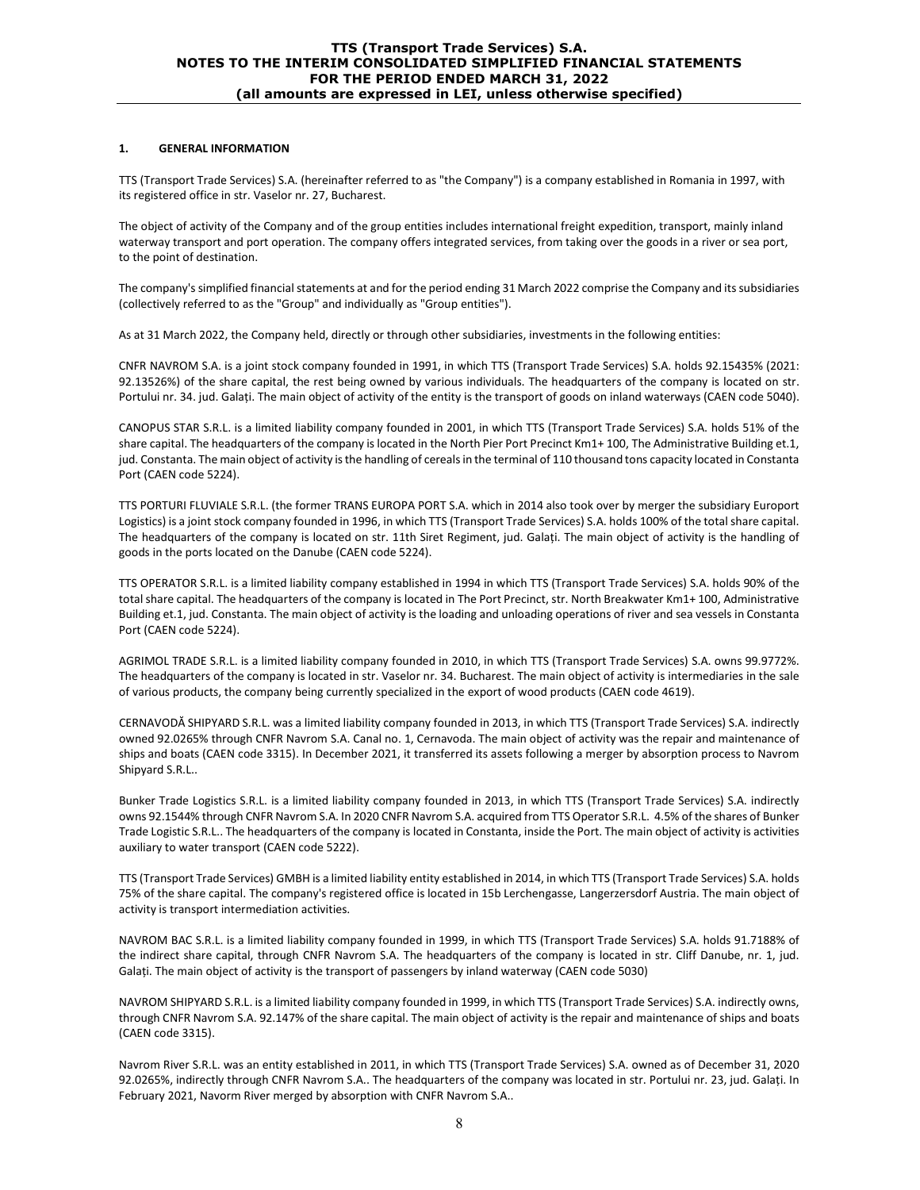#### **1. GENERAL INFORMATION**

TTS (Transport Trade Services) S.A. (hereinafter referred to as "the Company") is a company established in Romania in 1997, with its registered office in str. Vaselor nr. 27, Bucharest.

The object of activity of the Company and of the group entities includes international freight expedition, transport, mainly inland waterway transport and port operation. The company offers integrated services, from taking over the goods in a river or sea port, to the point of destination.

The company's simplified financial statements at and for the period ending 31 March 2022 comprise the Company and its subsidiaries (collectively referred to as the "Group" and individually as "Group entities").

As at 31 March 2022, the Company held, directly or through other subsidiaries, investments in the following entities:

CNFR NAVROM S.A. is a joint stock company founded in 1991, in which TTS (Transport Trade Services) S.A. holds 92.15435% (2021: 92.13526%) of the share capital, the rest being owned by various individuals. The headquarters of the company is located on str. Portului nr. 34. jud. Galați. The main object of activity of the entity is the transport of goods on inland waterways (CAEN code 5040).

CANOPUS STAR S.R.L. is a limited liability company founded in 2001, in which TTS (Transport Trade Services) S.A. holds 51% of the share capital. The headquarters of the company is located in the North Pier Port Precinct Km1+ 100, The Administrative Building et.1, jud. Constanta. The main object of activity is the handling of cereals in the terminal of 110 thousand tons capacity located in Constanta Port (CAEN code 5224).

TTS PORTURI FLUVIALE S.R.L. (the former TRANS EUROPA PORT S.A. which in 2014 also took over by merger the subsidiary Europort Logistics) is a joint stock company founded in 1996, in which TTS (Transport Trade Services) S.A. holds 100% of the total share capital. The headquarters of the company is located on str. 11th Siret Regiment, jud. Galați. The main object of activity is the handling of goods in the ports located on the Danube (CAEN code 5224).

TTS OPERATOR S.R.L. is a limited liability company established in 1994 in which TTS (Transport Trade Services) S.A. holds 90% of the total share capital. The headquarters of the company is located in The Port Precinct, str. North Breakwater Km1+ 100, Administrative Building et.1, jud. Constanta. The main object of activity is the loading and unloading operations of river and sea vessels in Constanta Port (CAEN code 5224).

AGRIMOL TRADE S.R.L. is a limited liability company founded in 2010, in which TTS (Transport Trade Services) S.A. owns 99.9772%. The headquarters of the company is located in str. Vaselor nr. 34. Bucharest. The main object of activity is intermediaries in the sale of various products, the company being currently specialized in the export of wood products (CAEN code 4619).

CERNAVODĂ SHIPYARD S.R.L. was a limited liability company founded in 2013, in which TTS (Transport Trade Services) S.A. indirectly owned 92.0265% through CNFR Navrom S.A. Canal no. 1, Cernavoda. The main object of activity was the repair and maintenance of ships and boats (CAEN code 3315). In December 2021, it transferred its assets following a merger by absorption process to Navrom Shipyard S.R.L..

Bunker Trade Logistics S.R.L. is a limited liability company founded in 2013, in which TTS (Transport Trade Services) S.A. indirectly owns 92.1544% through CNFR Navrom S.A. In 2020 CNFR Navrom S.A. acquired from TTS Operator S.R.L. 4.5% of the shares of Bunker Trade Logistic S.R.L.. The headquarters of the company is located in Constanta, inside the Port. The main object of activity is activities auxiliary to water transport (CAEN code 5222).

TTS (Transport Trade Services) GMBH is a limited liability entity established in 2014, in which TTS (Transport Trade Services) S.A. holds 75% of the share capital. The company's registered office is located in 15b Lerchengasse, Langerzersdorf Austria. The main object of activity is transport intermediation activities.

NAVROM BAC S.R.L. is a limited liability company founded in 1999, in which TTS (Transport Trade Services) S.A. holds 91.7188% of the indirect share capital, through CNFR Navrom S.A. The headquarters of the company is located in str. Cliff Danube, nr. 1, jud. Galați. The main object of activity is the transport of passengers by inland waterway (CAEN code 5030)

NAVROM SHIPYARD S.R.L. is a limited liability company founded in 1999, in which TTS (Transport Trade Services) S.A. indirectly owns, through CNFR Navrom S.A. 92.147% of the share capital. The main object of activity is the repair and maintenance of ships and boats (CAEN code 3315).

Navrom River S.R.L. was an entity established in 2011, in which TTS (Transport Trade Services) S.A. owned as of December 31, 2020 92.0265%, indirectly through CNFR Navrom S.A.. The headquarters of the company was located in str. Portului nr. 23, jud. Galați. In February 2021, Navorm River merged by absorption with CNFR Navrom S.A..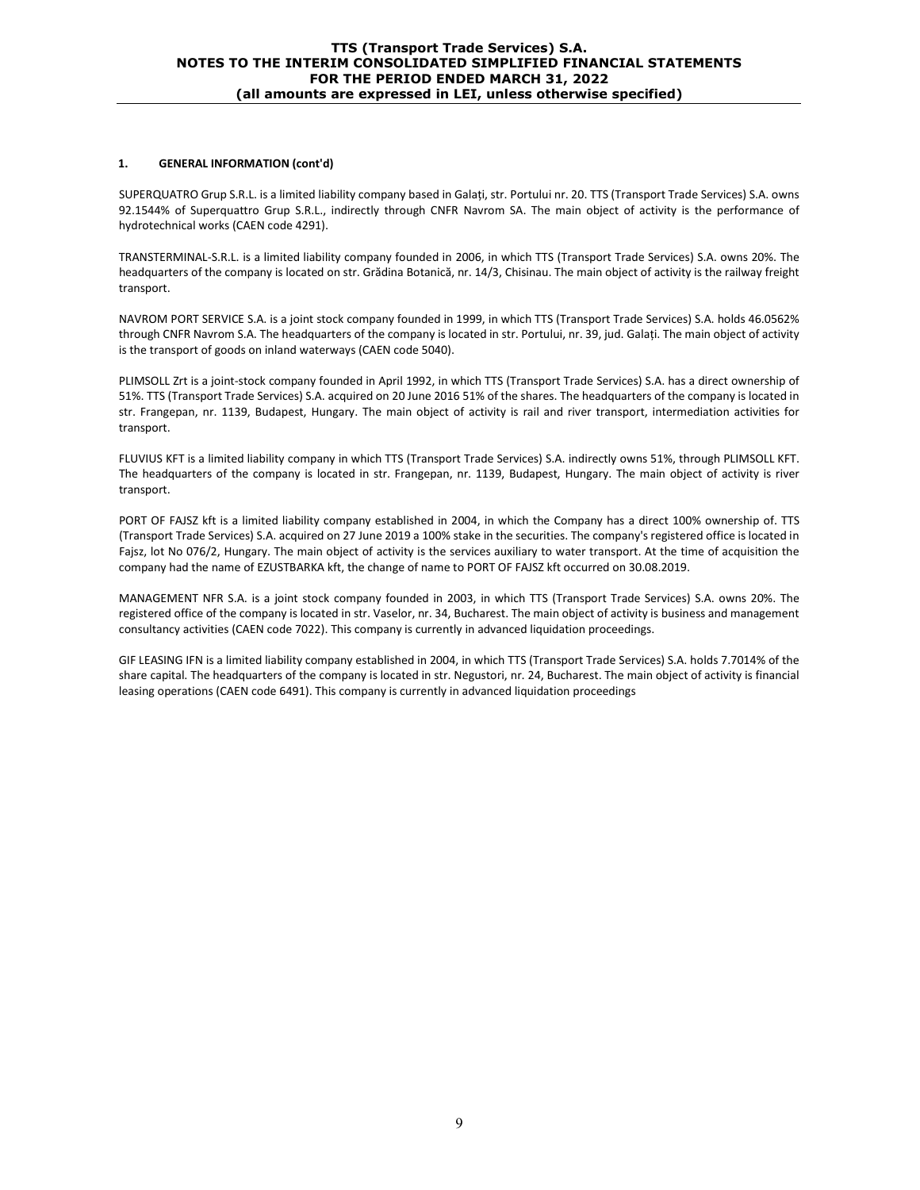#### **1. GENERAL INFORMATION (cont'd)**

SUPERQUATRO Grup S.R.L. is a limited liability company based in Galați, str. Portului nr. 20. TTS (Transport Trade Services) S.A. owns 92.1544% of Superquattro Grup S.R.L., indirectly through CNFR Navrom SA. The main object of activity is the performance of hydrotechnical works (CAEN code 4291).

TRANSTERMINAL-S.R.L. is a limited liability company founded in 2006, in which TTS (Transport Trade Services) S.A. owns 20%. The headquarters of the company is located on str. Grădina Botanică, nr. 14/3, Chisinau. The main object of activity is the railway freight transport.

NAVROM PORT SERVICE S.A. is a joint stock company founded in 1999, in which TTS (Transport Trade Services) S.A. holds 46.0562% through CNFR Navrom S.A. The headquarters of the company is located in str. Portului, nr. 39, jud. Galați. The main object of activity is the transport of goods on inland waterways (CAEN code 5040).

PLIMSOLL Zrt is a joint-stock company founded in April 1992, in which TTS (Transport Trade Services) S.A. has a direct ownership of 51%. TTS (Transport Trade Services) S.A. acquired on 20 June 2016 51% of the shares. The headquarters of the company is located in str. Frangepan, nr. 1139, Budapest, Hungary. The main object of activity is rail and river transport, intermediation activities for transport.

FLUVIUS KFT is a limited liability company in which TTS (Transport Trade Services) S.A. indirectly owns 51%, through PLIMSOLL KFT. The headquarters of the company is located in str. Frangepan, nr. 1139, Budapest, Hungary. The main object of activity is river transport.

PORT OF FAJSZ kft is a limited liability company established in 2004, in which the Company has a direct 100% ownership of. TTS (Transport Trade Services) S.A. acquired on 27 June 2019 a 100% stake in the securities. The company's registered office is located in Fajsz, lot No 076/2, Hungary. The main object of activity is the services auxiliary to water transport. At the time of acquisition the company had the name of EZUSTBARKA kft, the change of name to PORT OF FAJSZ kft occurred on 30.08.2019.

MANAGEMENT NFR S.A. is a joint stock company founded in 2003, in which TTS (Transport Trade Services) S.A. owns 20%. The registered office of the company is located in str. Vaselor, nr. 34, Bucharest. The main object of activity is business and management consultancy activities (CAEN code 7022). This company is currently in advanced liquidation proceedings.

GIF LEASING IFN is a limited liability company established in 2004, in which TTS (Transport Trade Services) S.A. holds 7.7014% of the share capital. The headquarters of the company is located in str. Negustori, nr. 24, Bucharest. The main object of activity is financial leasing operations (CAEN code 6491). This company is currently in advanced liquidation proceedings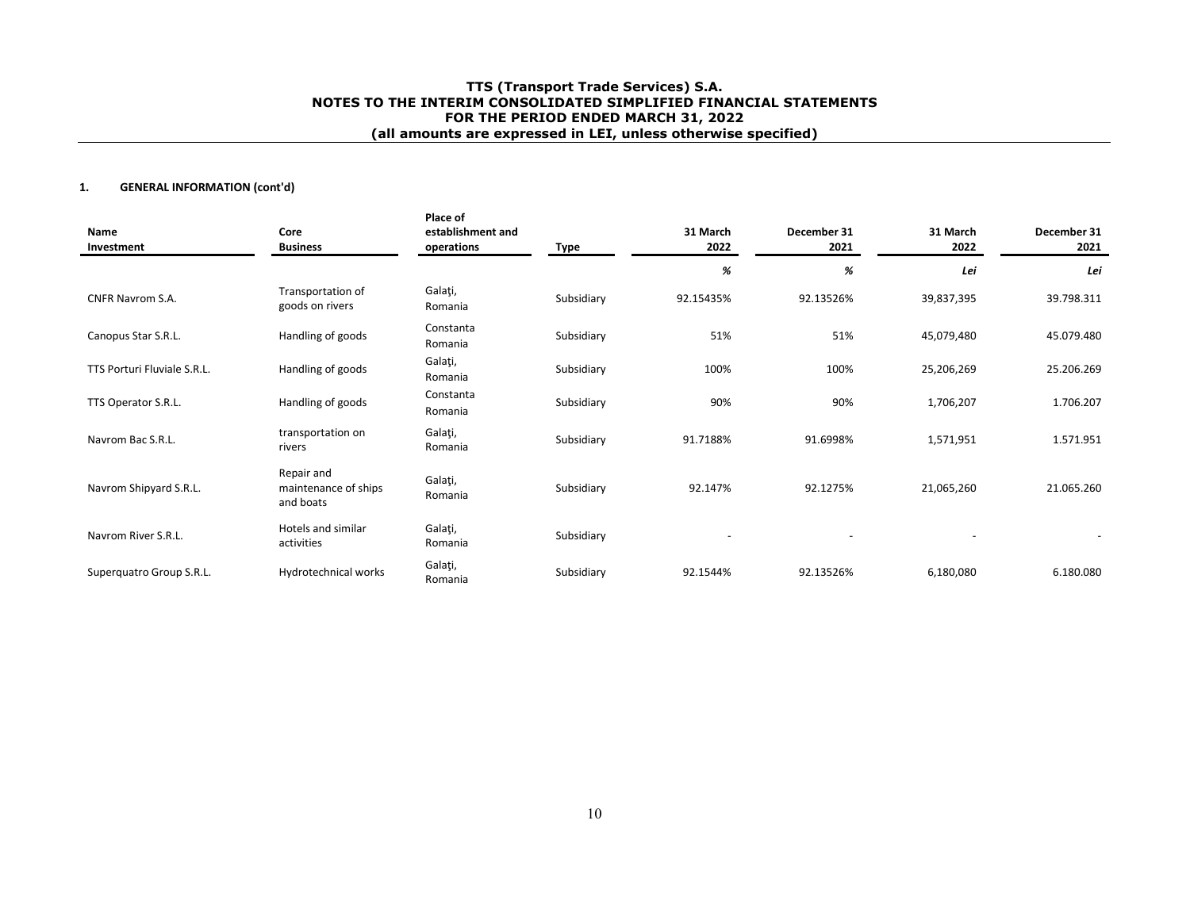## **1. GENERAL INFORMATION (cont'd)**

| Name<br>Investment          | Core<br><b>Business</b>                         | Place of<br>establishment and<br>operations | Type       | 31 March<br>2022         | December 31<br>2021 | 31 March<br>2022 | December 31<br>2021 |
|-----------------------------|-------------------------------------------------|---------------------------------------------|------------|--------------------------|---------------------|------------------|---------------------|
|                             |                                                 |                                             |            | %                        | %                   | Lei              | Lei                 |
| <b>CNFR Navrom S.A.</b>     | Transportation of<br>goods on rivers            | Galați,<br>Romania                          | Subsidiary | 92.15435%                | 92.13526%           | 39,837,395       | 39.798.311          |
| Canopus Star S.R.L.         | Handling of goods                               | Constanta<br>Romania                        | Subsidiary | 51%                      | 51%                 | 45,079,480       | 45.079.480          |
| TTS Porturi Fluviale S.R.L. | Handling of goods                               | Galați,<br>Romania                          | Subsidiary | 100%                     | 100%                | 25,206,269       | 25.206.269          |
| TTS Operator S.R.L.         | Handling of goods                               | Constanta<br>Romania                        | Subsidiary | 90%                      | 90%                 | 1,706,207        | 1.706.207           |
| Navrom Bac S.R.L.           | transportation on<br>rivers                     | Galați,<br>Romania                          | Subsidiary | 91.7188%                 | 91.6998%            | 1,571,951        | 1.571.951           |
| Navrom Shipyard S.R.L.      | Repair and<br>maintenance of ships<br>and boats | Galați,<br>Romania                          | Subsidiary | 92.147%                  | 92.1275%            | 21,065,260       | 21.065.260          |
| Navrom River S.R.L.         | Hotels and similar<br>activities                | Galați,<br>Romania                          | Subsidiary | $\overline{\phantom{a}}$ |                     |                  |                     |
| Superquatro Group S.R.L.    | Hydrotechnical works                            | Galați,<br>Romania                          | Subsidiary | 92.1544%                 | 92.13526%           | 6,180,080        | 6.180.080           |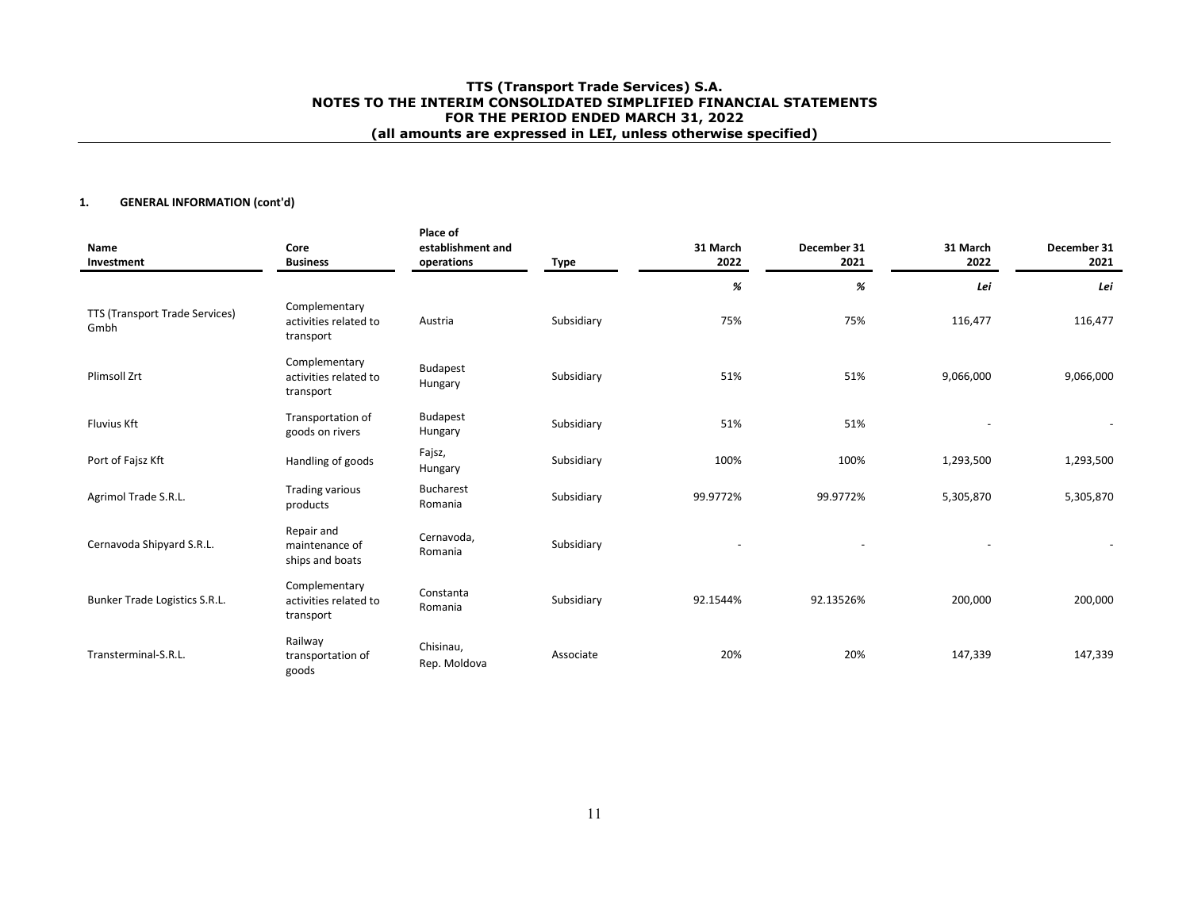## **1. GENERAL INFORMATION (cont'd)**

| Name<br>Investment                     | Core<br><b>Business</b>                             | Place of<br>establishment and<br>operations | <b>Type</b> | 31 March<br>2022 | December 31<br>2021 | 31 March<br>2022 | December 31<br>2021 |
|----------------------------------------|-----------------------------------------------------|---------------------------------------------|-------------|------------------|---------------------|------------------|---------------------|
|                                        |                                                     |                                             |             | %                | %                   | Lei              | Lei                 |
| TTS (Transport Trade Services)<br>Gmbh | Complementary<br>activities related to<br>transport | Austria                                     | Subsidiary  | 75%              | 75%                 | 116,477          | 116,477             |
| <b>Plimsoll Zrt</b>                    | Complementary<br>activities related to<br>transport | <b>Budapest</b><br>Hungary                  | Subsidiary  | 51%              | 51%                 | 9,066,000        | 9,066,000           |
| <b>Fluvius Kft</b>                     | Transportation of<br>goods on rivers                | Budapest<br>Hungary                         | Subsidiary  | 51%              | 51%                 |                  |                     |
| Port of Fajsz Kft                      | Handling of goods                                   | Fajsz,<br>Hungary                           | Subsidiary  | 100%             | 100%                | 1,293,500        | 1,293,500           |
| Agrimol Trade S.R.L.                   | <b>Trading various</b><br>products                  | <b>Bucharest</b><br>Romania                 | Subsidiary  | 99.9772%         | 99.9772%            | 5,305,870        | 5,305,870           |
| Cernavoda Shipyard S.R.L.              | Repair and<br>maintenance of<br>ships and boats     | Cernavoda,<br>Romania                       | Subsidiary  |                  |                     |                  |                     |
| Bunker Trade Logistics S.R.L.          | Complementary<br>activities related to<br>transport | Constanta<br>Romania                        | Subsidiary  | 92.1544%         | 92.13526%           | 200,000          | 200,000             |
| Transterminal-S.R.L.                   | Railway<br>transportation of<br>goods               | Chisinau,<br>Rep. Moldova                   | Associate   | 20%              | 20%                 | 147,339          | 147,339             |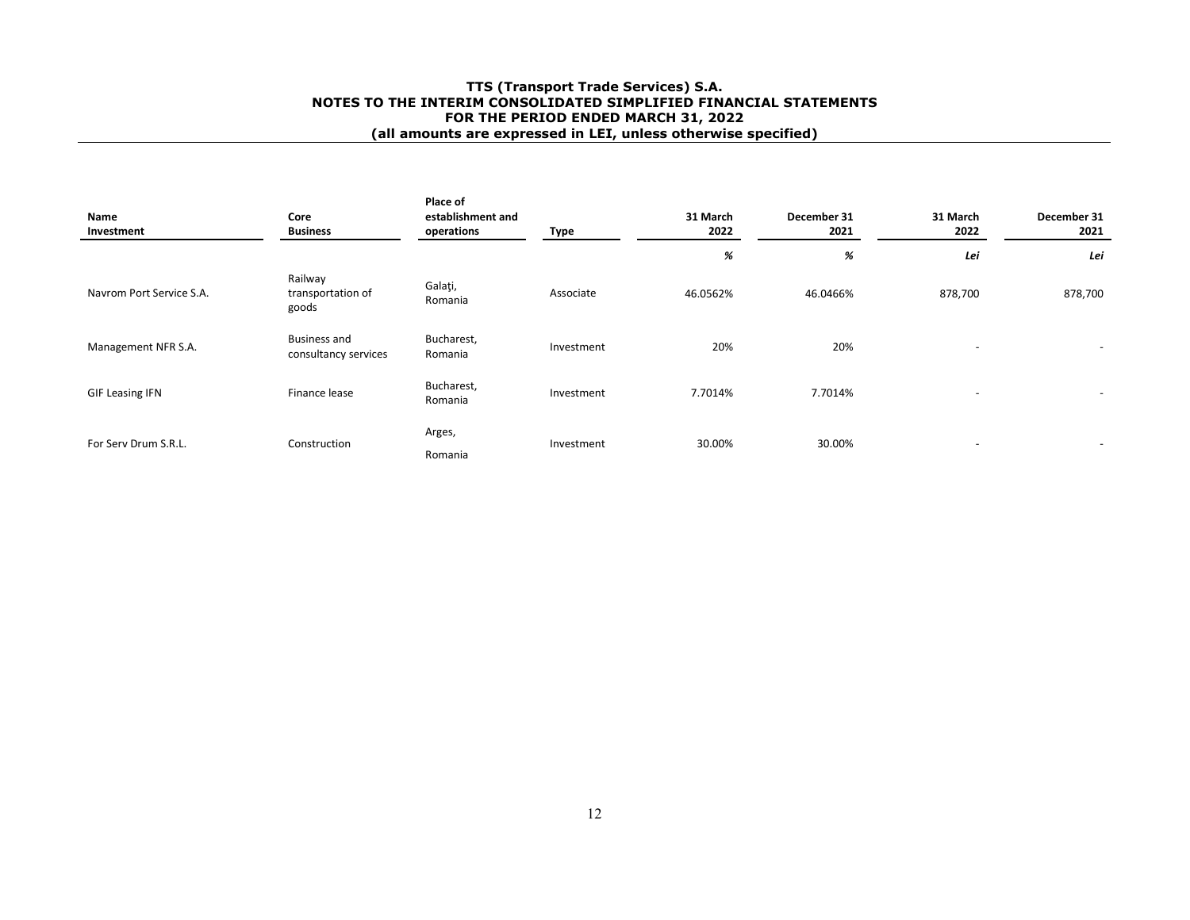| Name<br>Investment       | Core<br><b>Business</b>                     | Place of<br>establishment and<br>operations | Type       | 31 March<br>2022 | December 31<br>2021 | 31 March<br>2022         | December 31<br>2021      |
|--------------------------|---------------------------------------------|---------------------------------------------|------------|------------------|---------------------|--------------------------|--------------------------|
|                          |                                             |                                             |            | %                | %                   | Lei                      | Lei                      |
| Navrom Port Service S.A. | Railway<br>transportation of<br>goods       | Galați,<br>Romania                          | Associate  | 46.0562%         | 46.0466%            | 878,700                  | 878,700                  |
| Management NFR S.A.      | <b>Business and</b><br>consultancy services | Bucharest,<br>Romania                       | Investment | 20%              | 20%                 | $\overline{\phantom{0}}$ | $\overline{\phantom{0}}$ |
| <b>GIF Leasing IFN</b>   | Finance lease                               | Bucharest,<br>Romania                       | Investment | 7.7014%          | 7.7014%             | $\overline{\phantom{0}}$ |                          |
| For Serv Drum S.R.L.     | Construction                                | Arges,<br>Romania                           | Investment | 30.00%           | 30.00%              | $\overline{\phantom{a}}$ |                          |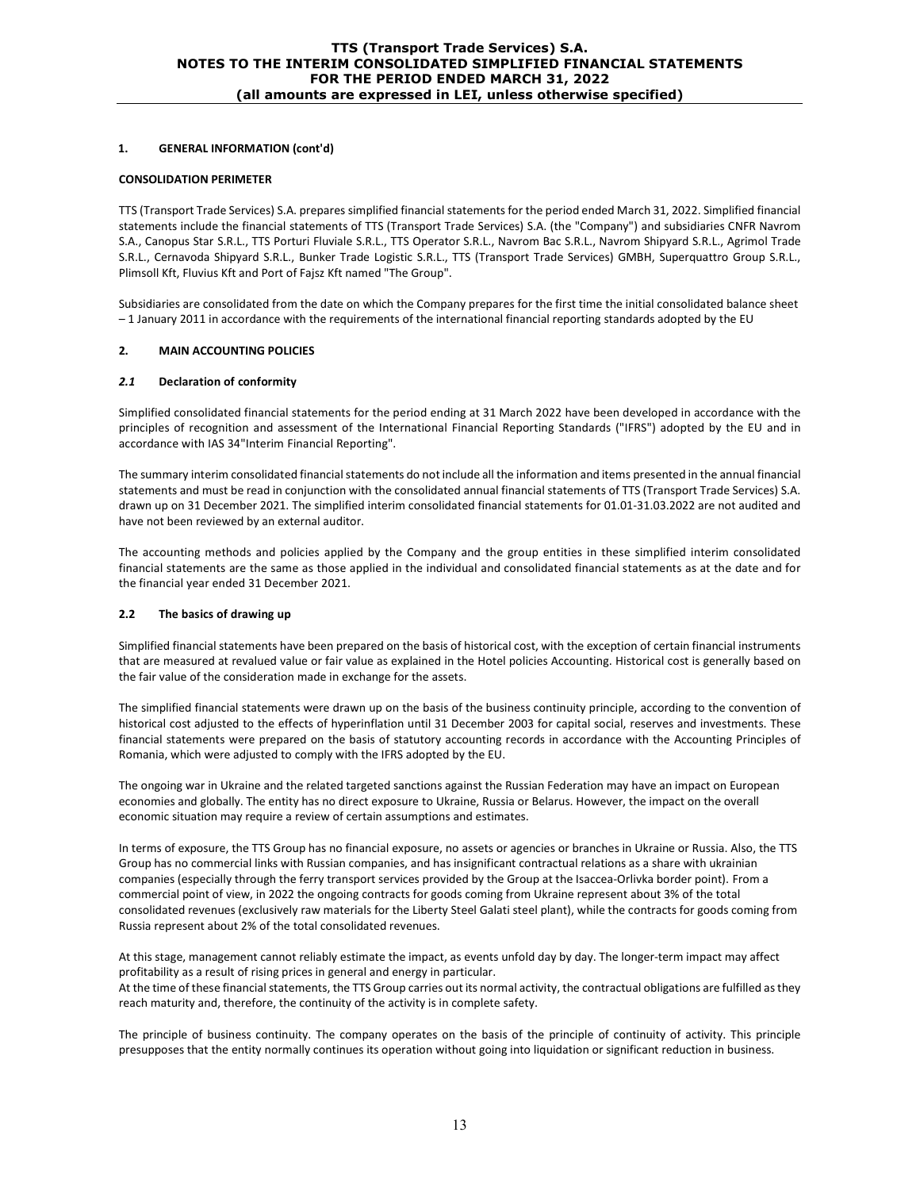## **1. GENERAL INFORMATION (cont'd)**

#### **CONSOLIDATION PERIMETER**

TTS (Transport Trade Services) S.A. prepares simplified financial statements for the period ended March 31, 2022. Simplified financial statements include the financial statements of TTS (Transport Trade Services) S.A. (the "Company") and subsidiaries CNFR Navrom S.A., Canopus Star S.R.L., TTS Porturi Fluviale S.R.L., TTS Operator S.R.L., Navrom Bac S.R.L., Navrom Shipyard S.R.L., Agrimol Trade S.R.L., Cernavoda Shipyard S.R.L., Bunker Trade Logistic S.R.L., TTS (Transport Trade Services) GMBH, Superquattro Group S.R.L., Plimsoll Kft, Fluvius Kft and Port of Fajsz Kft named "The Group".

Subsidiaries are consolidated from the date on which the Company prepares for the first time the initial consolidated balance sheet – 1 January 2011 in accordance with the requirements of the international financial reporting standards adopted by the EU

#### **2. MAIN ACCOUNTING POLICIES**

#### *2.1* **Declaration of conformity**

Simplified consolidated financial statements for the period ending at 31 March 2022 have been developed in accordance with the principles of recognition and assessment of the International Financial Reporting Standards ("IFRS") adopted by the EU and in accordance with IAS 34"Interim Financial Reporting".

The summary interim consolidated financial statements do not include all the information and items presented in the annual financial statements and must be read in conjunction with the consolidated annual financial statements of TTS (Transport Trade Services) S.A. drawn up on 31 December 2021. The simplified interim consolidated financial statements for 01.01-31.03.2022 are not audited and have not been reviewed by an external auditor.

The accounting methods and policies applied by the Company and the group entities in these simplified interim consolidated financial statements are the same as those applied in the individual and consolidated financial statements as at the date and for the financial year ended 31 December 2021.

## **2.2 The basics of drawing up**

Simplified financial statements have been prepared on the basis of historical cost, with the exception of certain financial instruments that are measured at revalued value or fair value as explained in the Hotel policies Accounting. Historical cost is generally based on the fair value of the consideration made in exchange for the assets.

The simplified financial statements were drawn up on the basis of the business continuity principle, according to the convention of historical cost adjusted to the effects of hyperinflation until 31 December 2003 for capital social, reserves and investments. These financial statements were prepared on the basis of statutory accounting records in accordance with the Accounting Principles of Romania, which were adjusted to comply with the IFRS adopted by the EU.

The ongoing war in Ukraine and the related targeted sanctions against the Russian Federation may have an impact on European economies and globally. The entity has no direct exposure to Ukraine, Russia or Belarus. However, the impact on the overall economic situation may require a review of certain assumptions and estimates.

In terms of exposure, the TTS Group has no financial exposure, no assets or agencies or branches in Ukraine or Russia. Also, the TTS Group has no commercial links with Russian companies, and has insignificant contractual relations as a share with ukrainian companies (especially through the ferry transport services provided by the Group at the Isaccea-Orlivka border point). From a commercial point of view, in 2022 the ongoing contracts for goods coming from Ukraine represent about 3% of the total consolidated revenues (exclusively raw materials for the Liberty Steel Galati steel plant), while the contracts for goods coming from Russia represent about 2% of the total consolidated revenues.

At this stage, management cannot reliably estimate the impact, as events unfold day by day. The longer-term impact may affect profitability as a result of rising prices in general and energy in particular. At the time of these financial statements, the TTS Group carries out its normal activity, the contractual obligations are fulfilled as they reach maturity and, therefore, the continuity of the activity is in complete safety.

The principle of business continuity. The company operates on the basis of the principle of continuity of activity. This principle presupposes that the entity normally continues its operation without going into liquidation or significant reduction in business.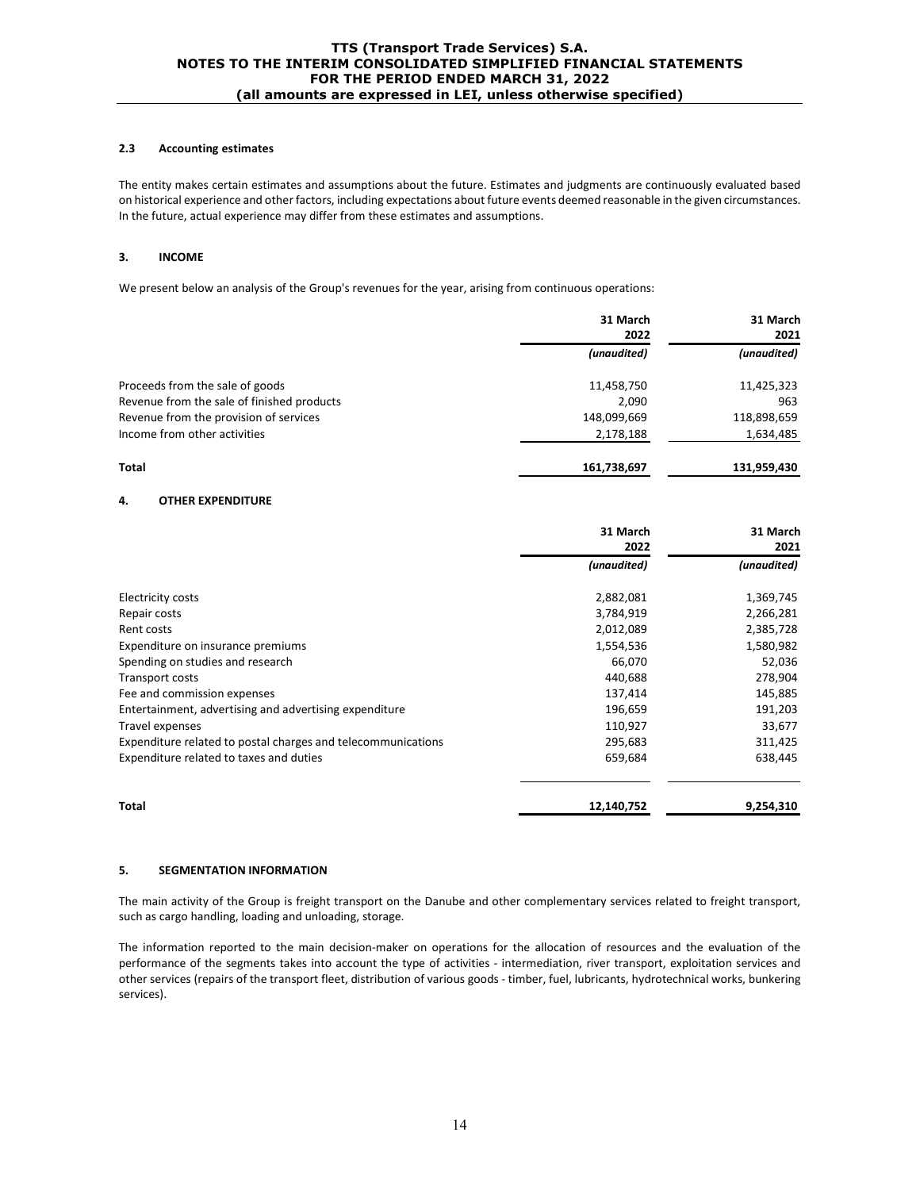## **2.3 Accounting estimates**

The entity makes certain estimates and assumptions about the future. Estimates and judgments are continuously evaluated based on historical experience and other factors, including expectations about future events deemed reasonable in the given circumstances. In the future, actual experience may differ from these estimates and assumptions.

## **3. INCOME**

We present below an analysis of the Group's revenues for the year, arising from continuous operations:

|                                            | 31 March<br>2022 | 31 March<br>2021 |
|--------------------------------------------|------------------|------------------|
|                                            | (unaudited)      | (unaudited)      |
| Proceeds from the sale of goods            | 11,458,750       | 11,425,323       |
| Revenue from the sale of finished products | 2,090            | 963              |
| Revenue from the provision of services     | 148,099,669      | 118,898,659      |
| Income from other activities               | 2,178,188        | 1,634,485        |
| Total                                      | 161,738,697      | 131,959,430      |

## **4. OTHER EXPENDITURE**

|                                                              | 31 March<br>2022 | 31 March<br>2021 |
|--------------------------------------------------------------|------------------|------------------|
|                                                              | (unaudited)      | (unaudited)      |
| <b>Electricity costs</b>                                     | 2,882,081        | 1,369,745        |
| Repair costs                                                 | 3,784,919        | 2,266,281        |
| Rent costs                                                   | 2,012,089        | 2,385,728        |
| Expenditure on insurance premiums                            | 1,554,536        | 1,580,982        |
| Spending on studies and research                             | 66,070           | 52,036           |
| Transport costs                                              | 440,688          | 278,904          |
| Fee and commission expenses                                  | 137,414          | 145,885          |
| Entertainment, advertising and advertising expenditure       | 196,659          | 191,203          |
| Travel expenses                                              | 110,927          | 33,677           |
| Expenditure related to postal charges and telecommunications | 295,683          | 311,425          |
| Expenditure related to taxes and duties                      | 659,684          | 638,445          |
| Total                                                        | 12,140,752       | 9,254,310        |

#### **5. SEGMENTATION INFORMATION**

The main activity of the Group is freight transport on the Danube and other complementary services related to freight transport, such as cargo handling, loading and unloading, storage.

The information reported to the main decision-maker on operations for the allocation of resources and the evaluation of the performance of the segments takes into account the type of activities - intermediation, river transport, exploitation services and other services (repairs of the transport fleet, distribution of various goods - timber, fuel, lubricants, hydrotechnical works, bunkering services).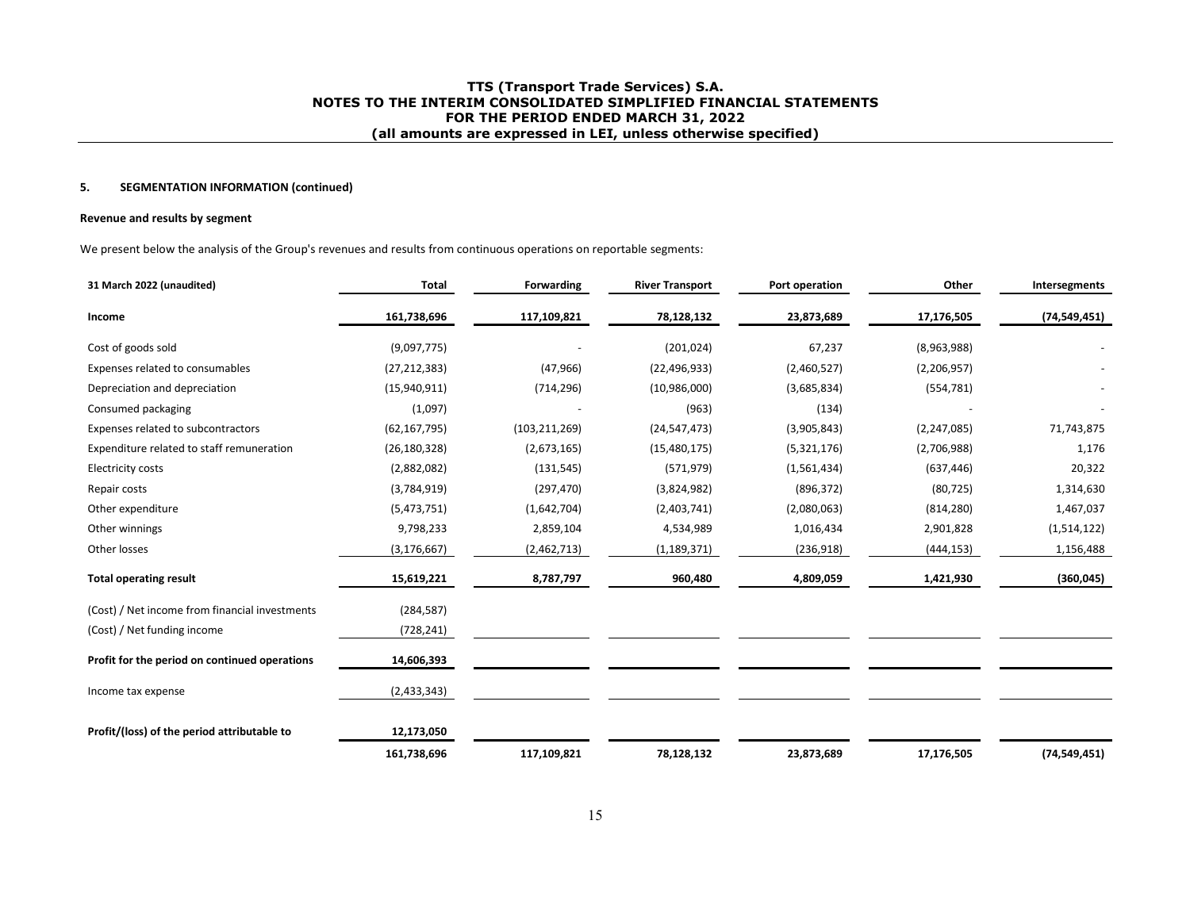## **5. SEGMENTATION INFORMATION (continued)**

#### **Revenue and results by segment**

We present below the analysis of the Group's revenues and results from continuous operations on reportable segments:

| 31 March 2022 (unaudited)                      | <b>Total</b>   | Forwarding      | <b>River Transport</b> | Port operation | Other         | Intersegments  |
|------------------------------------------------|----------------|-----------------|------------------------|----------------|---------------|----------------|
| Income                                         | 161,738,696    | 117,109,821     | 78,128,132             | 23,873,689     | 17,176,505    | (74, 549, 451) |
| Cost of goods sold                             | (9,097,775)    |                 | (201, 024)             | 67,237         | (8,963,988)   |                |
| Expenses related to consumables                | (27, 212, 383) | (47, 966)       | (22, 496, 933)         | (2,460,527)    | (2,206,957)   |                |
| Depreciation and depreciation                  | (15,940,911)   | (714, 296)      | (10,986,000)           | (3,685,834)    | (554, 781)    |                |
| Consumed packaging                             | (1,097)        |                 | (963)                  | (134)          |               |                |
| Expenses related to subcontractors             | (62, 167, 795) | (103, 211, 269) | (24, 547, 473)         | (3,905,843)    | (2, 247, 085) | 71,743,875     |
| Expenditure related to staff remuneration      | (26, 180, 328) | (2,673,165)     | (15, 480, 175)         | (5,321,176)    | (2,706,988)   | 1,176          |
| <b>Electricity costs</b>                       | (2,882,082)    | (131, 545)      | (571, 979)             | (1,561,434)    | (637, 446)    | 20,322         |
| Repair costs                                   | (3,784,919)    | (297, 470)      | (3,824,982)            | (896, 372)     | (80, 725)     | 1,314,630      |
| Other expenditure                              | (5,473,751)    | (1,642,704)     | (2,403,741)            | (2,080,063)    | (814, 280)    | 1,467,037      |
| Other winnings                                 | 9,798,233      | 2,859,104       | 4,534,989              | 1,016,434      | 2,901,828     | (1,514,122)    |
| Other losses                                   | (3, 176, 667)  | (2,462,713)     | (1, 189, 371)          | (236,918)      | (444, 153)    | 1,156,488      |
| <b>Total operating result</b>                  | 15,619,221     | 8,787,797       | 960,480                | 4,809,059      | 1,421,930     | (360, 045)     |
| (Cost) / Net income from financial investments | (284, 587)     |                 |                        |                |               |                |
| (Cost) / Net funding income                    | (728, 241)     |                 |                        |                |               |                |
| Profit for the period on continued operations  | 14,606,393     |                 |                        |                |               |                |
| Income tax expense                             | (2,433,343)    |                 |                        |                |               |                |
| Profit/(loss) of the period attributable to    | 12,173,050     |                 |                        |                |               |                |
|                                                | 161,738,696    | 117,109,821     | 78,128,132             | 23,873,689     | 17,176,505    | (74, 549, 451) |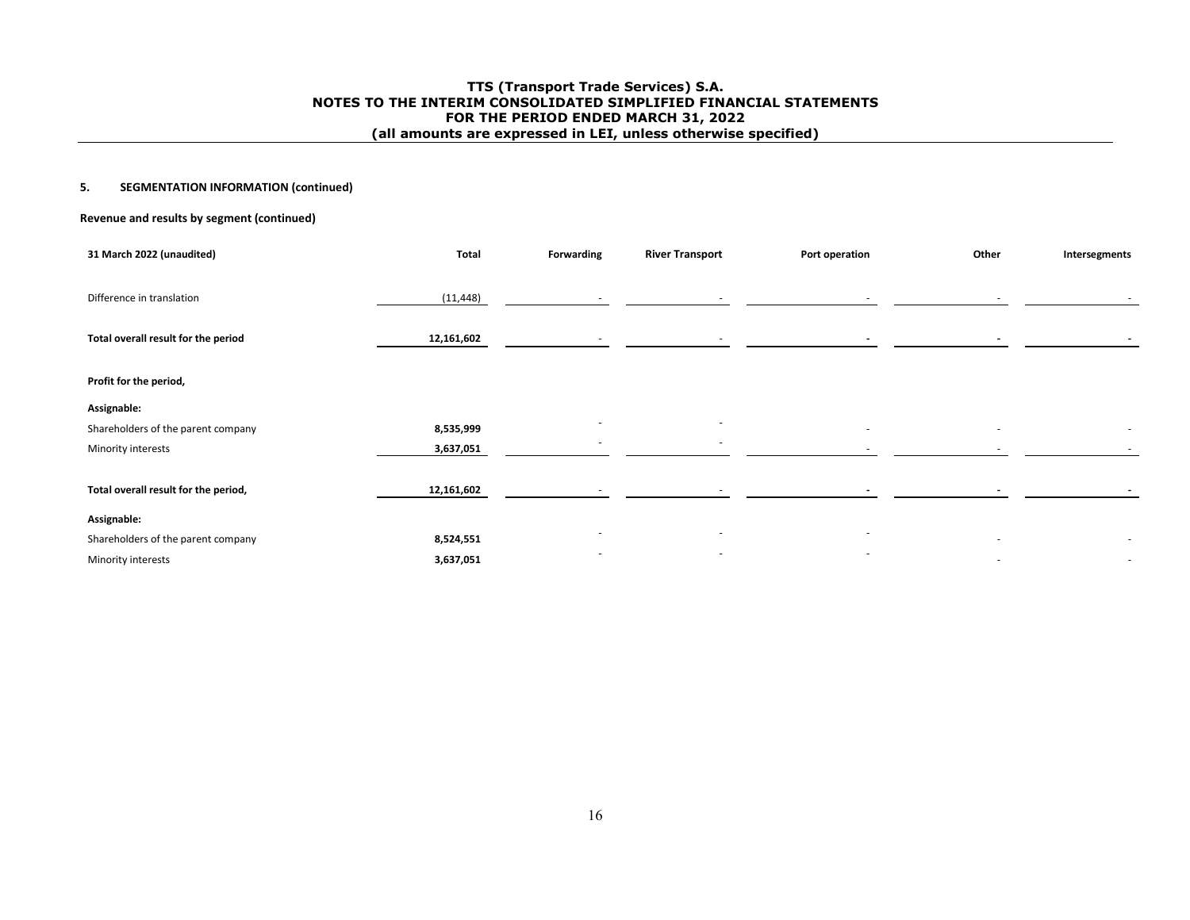## **5. SEGMENTATION INFORMATION (continued)**

## **Revenue and results by segment (continued)**

| 31 March 2022 (unaudited)            | <b>Total</b> | Forwarding               | <b>River Transport</b>   | Port operation           | Other | Intersegments            |
|--------------------------------------|--------------|--------------------------|--------------------------|--------------------------|-------|--------------------------|
|                                      |              |                          |                          |                          |       |                          |
| Difference in translation            | (11, 448)    | $\sim$                   | $\sim$                   | $\sim$                   |       |                          |
|                                      |              |                          |                          |                          |       |                          |
| Total overall result for the period  | 12,161,602   |                          |                          |                          |       |                          |
|                                      |              |                          |                          |                          |       |                          |
| Profit for the period,               |              |                          |                          |                          |       |                          |
| Assignable:                          |              |                          |                          |                          |       |                          |
| Shareholders of the parent company   | 8,535,999    |                          |                          | $\overline{\phantom{a}}$ | ٠     | $\overline{\phantom{a}}$ |
| Minority interests                   | 3,637,051    |                          | $\overline{\phantom{a}}$ |                          |       | $\sim$                   |
|                                      |              |                          |                          |                          |       |                          |
| Total overall result for the period, | 12,161,602   |                          |                          |                          |       |                          |
| Assignable:                          |              |                          |                          |                          |       |                          |
| Shareholders of the parent company   | 8,524,551    |                          | $\overline{\phantom{a}}$ | $\overline{\phantom{a}}$ |       |                          |
| Minority interests                   | 3,637,051    | $\overline{\phantom{a}}$ | $\overline{\phantom{a}}$ | $\overline{\phantom{a}}$ | ٠     | $\sim$                   |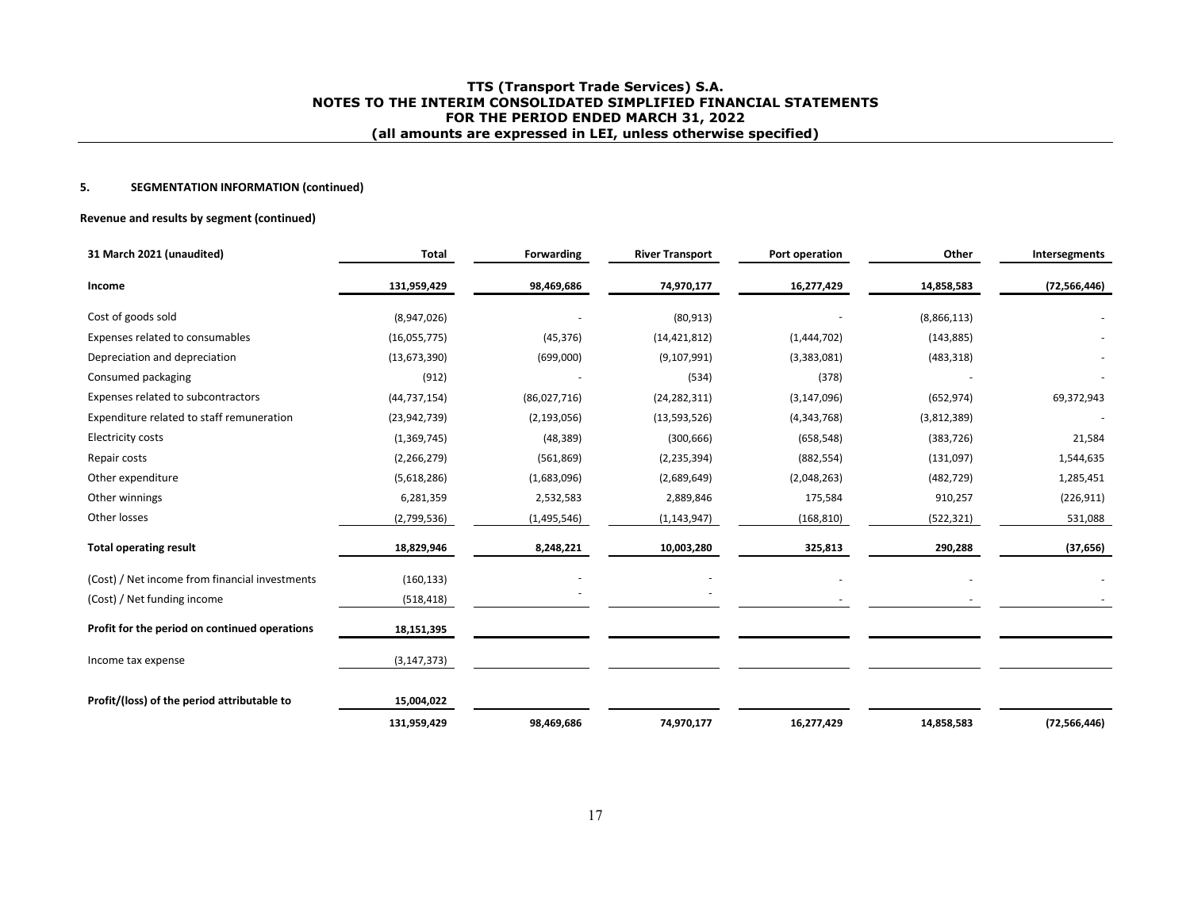## **5. SEGMENTATION INFORMATION (continued)**

#### **Revenue and results by segment (continued)**

| 31 March 2021 (unaudited)                      | <b>Total</b>   | <b>Forwarding</b> | <b>River Transport</b> | Port operation | Other       | Intersegments  |
|------------------------------------------------|----------------|-------------------|------------------------|----------------|-------------|----------------|
| Income                                         | 131,959,429    | 98,469,686        | 74,970,177             | 16,277,429     | 14,858,583  | (72, 566, 446) |
| Cost of goods sold                             | (8,947,026)    |                   | (80, 913)              |                | (8,866,113) |                |
| Expenses related to consumables                | (16,055,775)   | (45, 376)         | (14, 421, 812)         | (1,444,702)    | (143, 885)  |                |
| Depreciation and depreciation                  | (13, 673, 390) | (699,000)         | (9, 107, 991)          | (3,383,081)    | (483, 318)  |                |
| Consumed packaging                             | (912)          |                   | (534)                  | (378)          |             |                |
| Expenses related to subcontractors             | (44, 737, 154) | (86,027,716)      | (24, 282, 311)         | (3, 147, 096)  | (652, 974)  | 69,372,943     |
| Expenditure related to staff remuneration      | (23, 942, 739) | (2, 193, 056)     | (13,593,526)           | (4, 343, 768)  | (3,812,389) |                |
| <b>Electricity costs</b>                       | (1,369,745)    | (48, 389)         | (300, 666)             | (658, 548)     | (383, 726)  | 21,584         |
| Repair costs                                   | (2, 266, 279)  | (561, 869)        | (2, 235, 394)          | (882, 554)     | (131,097)   | 1,544,635      |
| Other expenditure                              | (5,618,286)    | (1,683,096)       | (2,689,649)            | (2,048,263)    | (482, 729)  | 1,285,451      |
| Other winnings                                 | 6,281,359      | 2,532,583         | 2,889,846              | 175,584        | 910,257     | (226, 911)     |
| Other losses                                   | (2,799,536)    | (1,495,546)       | (1, 143, 947)          | (168, 810)     | (522, 321)  | 531,088        |
| <b>Total operating result</b>                  | 18,829,946     | 8,248,221         | 10,003,280             | 325,813        | 290,288     | (37, 656)      |
| (Cost) / Net income from financial investments | (160, 133)     |                   |                        |                |             |                |
| (Cost) / Net funding income                    | (518, 418)     |                   |                        |                |             |                |
| Profit for the period on continued operations  | 18,151,395     |                   |                        |                |             |                |
| Income tax expense                             | (3, 147, 373)  |                   |                        |                |             |                |
| Profit/(loss) of the period attributable to    | 15,004,022     |                   |                        |                |             |                |
|                                                | 131,959,429    | 98,469,686        | 74,970,177             | 16,277,429     | 14,858,583  | (72, 566, 446) |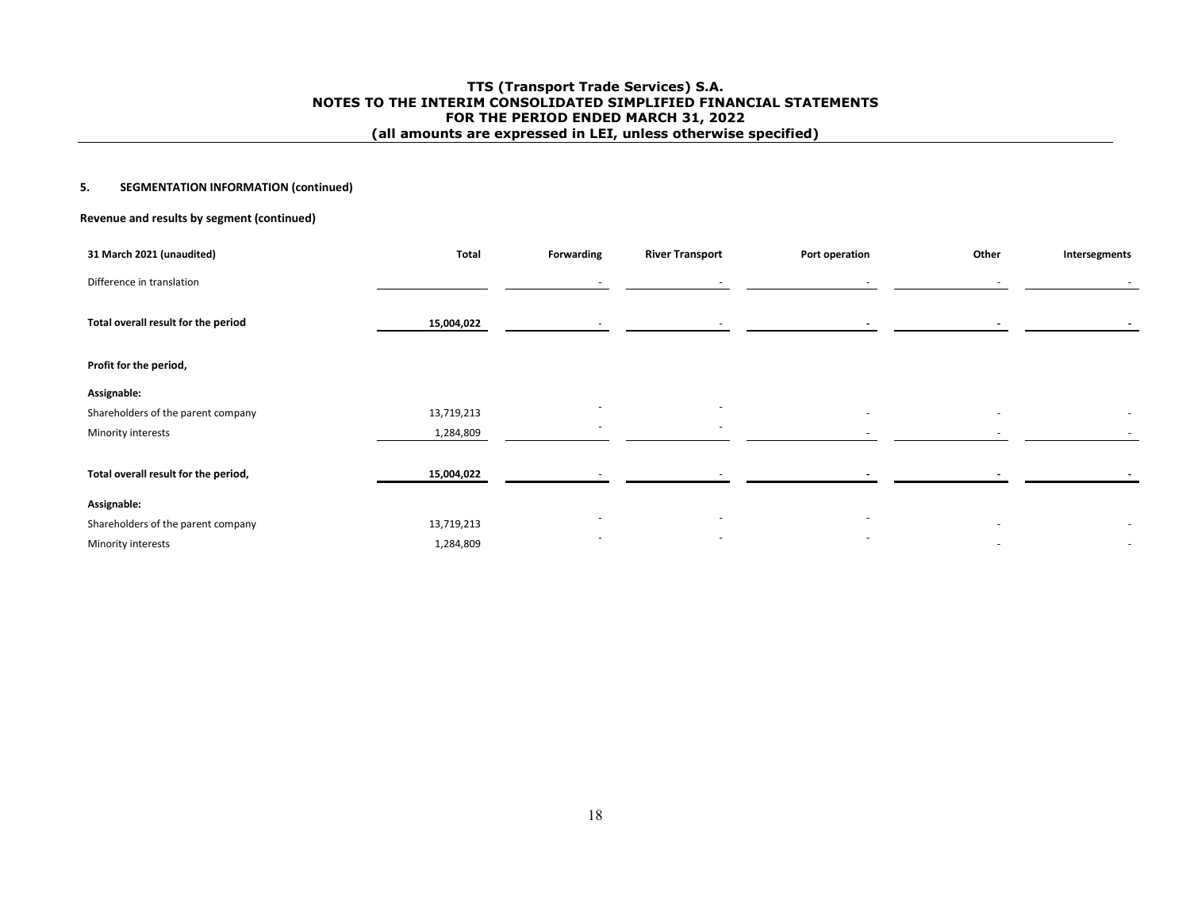## **5. SEGMENTATION INFORMATION (continued)**

## **Revenue and results by segment (continued)**

| 31 March 2021 (unaudited)            | Total      | Forwarding               | <b>River Transport</b> | Port operation           | Other | Intersegments            |
|--------------------------------------|------------|--------------------------|------------------------|--------------------------|-------|--------------------------|
| Difference in translation            |            | $\overline{\phantom{a}}$ | $\sim$                 |                          |       |                          |
| Total overall result for the period  | 15,004,022 | $\overline{\phantom{a}}$ | $\sim$                 | $\overline{\phantom{a}}$ |       | $\overline{\phantom{a}}$ |
| Profit for the period,               |            |                          |                        |                          |       |                          |
| Assignable:                          |            |                          |                        |                          |       |                          |
| Shareholders of the parent company   | 13,719,213 | $\overline{\phantom{a}}$ |                        |                          |       |                          |
| Minority interests                   | 1,284,809  | $\overline{\phantom{a}}$ | ٠                      |                          |       | $\sim$                   |
|                                      |            |                          |                        |                          |       |                          |
| Total overall result for the period, | 15,004,022 |                          |                        |                          |       |                          |
| Assignable:                          |            |                          |                        |                          |       |                          |
| Shareholders of the parent company   | 13,719,213 |                          |                        |                          |       | $\overline{\phantom{a}}$ |
| Minority interests                   | 1,284,809  | $\overline{\phantom{a}}$ | $\sim$                 | $\overline{\phantom{a}}$ |       | $\sim$                   |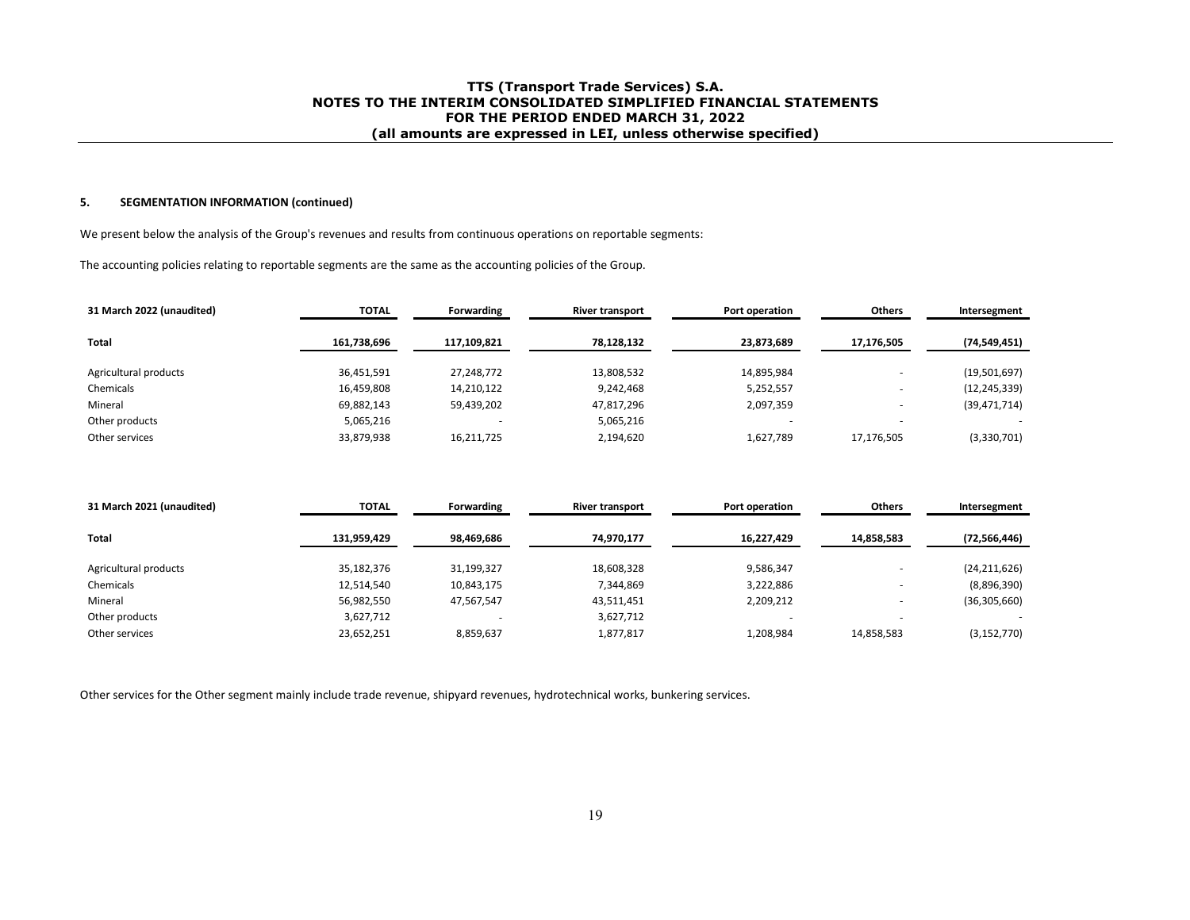#### **5. SEGMENTATION INFORMATION (continued)**

We present below the analysis of the Group's revenues and results from continuous operations on reportable segments:

The accounting policies relating to reportable segments are the same as the accounting policies of the Group.

| 31 March 2022 (unaudited) | <b>TOTAL</b> | Forwarding  | <b>River transport</b> | Port operation | Others     | Intersegment   |
|---------------------------|--------------|-------------|------------------------|----------------|------------|----------------|
| Total                     | 161,738,696  | 117,109,821 | 78,128,132             | 23,873,689     | 17,176,505 | (74, 549, 451) |
|                           |              |             |                        |                |            |                |
| Agricultural products     | 36,451,591   | 27,248,772  | 13,808,532             | 14,895,984     |            | (19,501,697)   |
| Chemicals                 | 16,459,808   | 14,210,122  | 9,242,468              | 5,252,557      |            | (12, 245, 339) |
| Mineral                   | 69,882,143   | 59,439,202  | 47,817,296             | 2,097,359      |            | (39, 471, 714) |
| Other products            | 5,065,216    |             | 5,065,216              |                |            |                |
| Other services            | 33,879,938   | 16,211,725  | 2,194,620              | 1,627,789      | 17,176,505 | (3,330,701)    |

| 31 March 2021 (unaudited) | <b>TOTAL</b> | Forwarding | <b>River transport</b> | Port operation |            | Intersegment             |
|---------------------------|--------------|------------|------------------------|----------------|------------|--------------------------|
| Total                     | 131,959,429  | 98,469,686 | 74,970,177             | 16,227,429     | 14,858,583 | (72, 566, 446)           |
|                           |              |            |                        |                |            |                          |
| Agricultural products     | 35,182,376   | 31,199,327 | 18,608,328             | 9,586,347      |            | (24, 211, 626)           |
| Chemicals                 | 12,514,540   | 10,843,175 | 7,344,869              | 3,222,886      |            | (8,896,390)              |
| Mineral                   | 56,982,550   | 47,567,547 | 43,511,451             | 2,209,212      |            | (36, 305, 660)           |
| Other products            | 3,627,712    |            | 3,627,712              |                | -          | $\overline{\phantom{a}}$ |
| Other services            | 23,652,251   | 8,859,637  | 1,877,817              | 1,208,984      | 14,858,583 | (3, 152, 770)            |

Other services for the Other segment mainly include trade revenue, shipyard revenues, hydrotechnical works, bunkering services.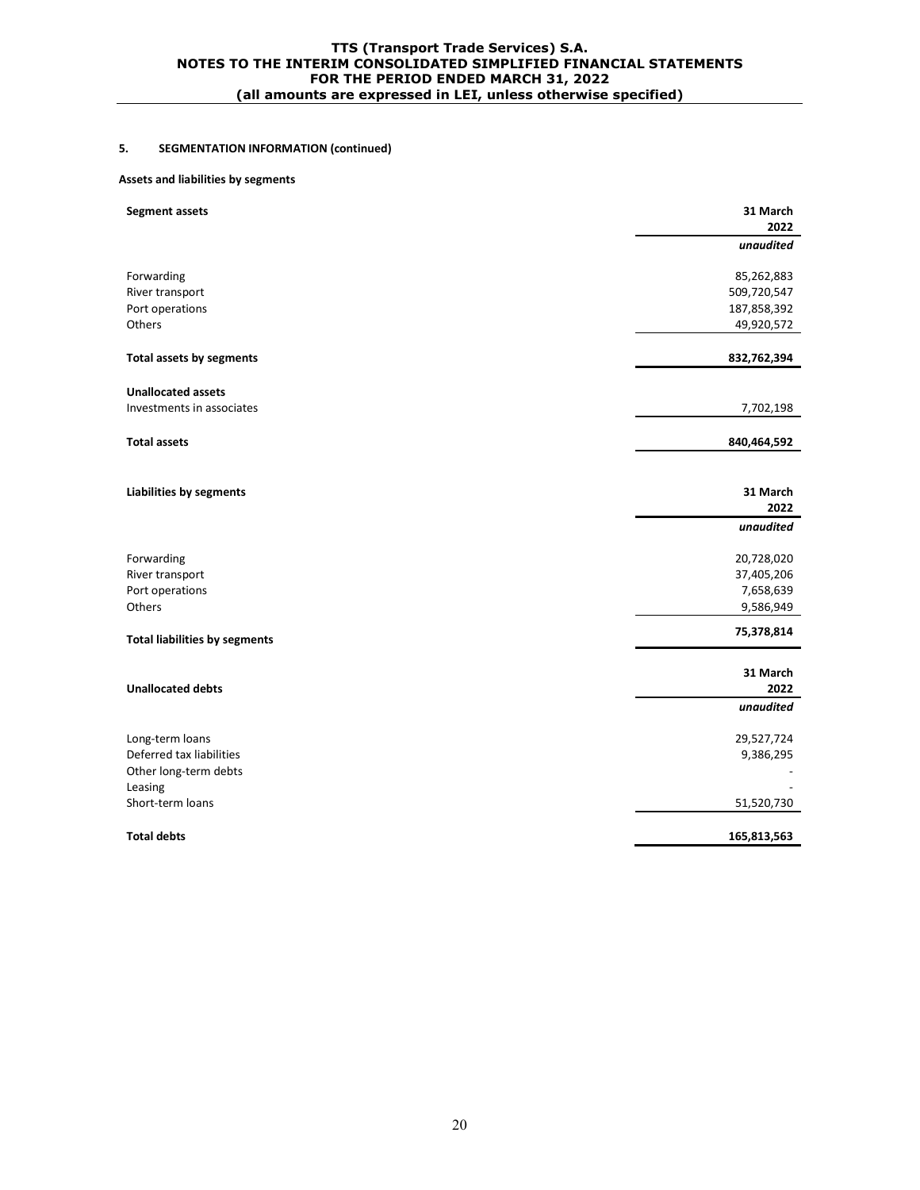# **5. SEGMENTATION INFORMATION (continued)**

#### **Assets and liabilities by segments**

| <b>Segment assets</b>                | 31 March<br>2022 |
|--------------------------------------|------------------|
|                                      | unaudited        |
| Forwarding                           | 85,262,883       |
| River transport                      | 509,720,547      |
| Port operations                      | 187,858,392      |
| Others                               | 49,920,572       |
| <b>Total assets by segments</b>      | 832,762,394      |
| <b>Unallocated assets</b>            |                  |
| Investments in associates            | 7,702,198        |
| <b>Total assets</b>                  | 840,464,592      |
|                                      |                  |
| <b>Liabilities by segments</b>       | 31 March         |
|                                      | 2022             |
|                                      | unaudited        |
| Forwarding                           | 20,728,020       |
| River transport                      | 37,405,206       |
| Port operations                      | 7,658,639        |
| Others                               | 9,586,949        |
| <b>Total liabilities by segments</b> | 75,378,814       |
|                                      | 31 March         |
| <b>Unallocated debts</b>             | 2022             |
|                                      | unaudited        |
| Long-term loans                      | 29,527,724       |
| Deferred tax liabilities             | 9,386,295        |
| Other long-term debts                |                  |
| Leasing                              |                  |
| Short-term loans                     | 51,520,730       |
| <b>Total debts</b>                   | 165,813,563      |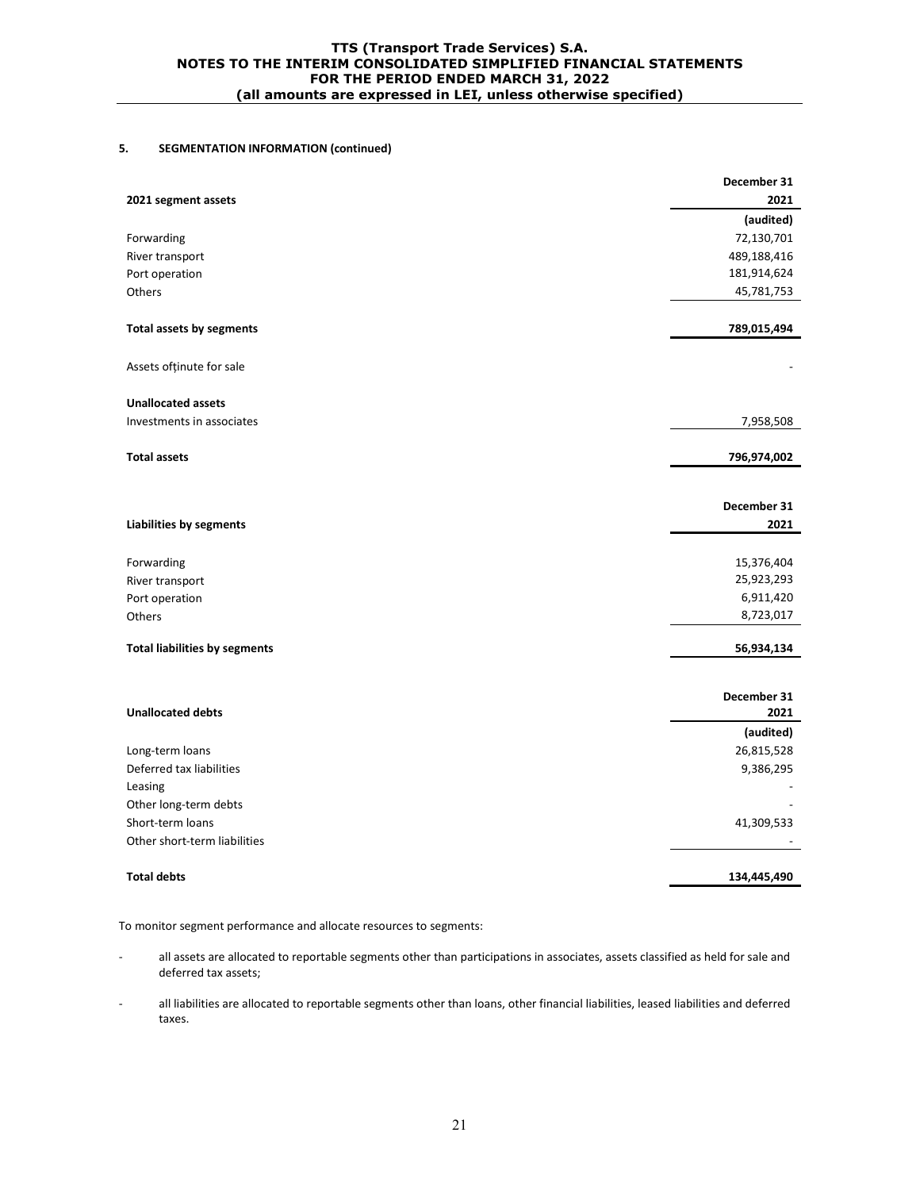# **5. SEGMENTATION INFORMATION (continued)**

|                                      | December 31         |
|--------------------------------------|---------------------|
| 2021 segment assets                  | 2021                |
|                                      | (audited)           |
| Forwarding                           | 72,130,701          |
| River transport                      | 489,188,416         |
| Port operation                       | 181,914,624         |
| Others                               | 45,781,753          |
| Total assets by segments             | 789,015,494         |
| Assets ofținute for sale             |                     |
| <b>Unallocated assets</b>            |                     |
| Investments in associates            | 7,958,508           |
| <b>Total assets</b>                  | 796,974,002         |
|                                      |                     |
| <b>Liabilities by segments</b>       | December 31<br>2021 |
| Forwarding                           | 15,376,404          |
| River transport                      | 25,923,293          |
| Port operation                       | 6,911,420           |
| Others                               | 8,723,017           |
| <b>Total liabilities by segments</b> | 56,934,134          |
|                                      | December 31         |
| <b>Unallocated debts</b>             | 2021                |
|                                      | (audited)           |
| Long-term loans                      | 26,815,528          |
| Deferred tax liabilities             | 9,386,295           |
| Leasing                              |                     |
| Other long-term debts                |                     |
| Short-term loans                     | 41,309,533          |
| Other short-term liabilities         |                     |
| <b>Total debts</b>                   | 134,445,490         |

To monitor segment performance and allocate resources to segments:

- all assets are allocated to reportable segments other than participations in associates, assets classified as held for sale and deferred tax assets;
- all liabilities are allocated to reportable segments other than loans, other financial liabilities, leased liabilities and deferred taxes.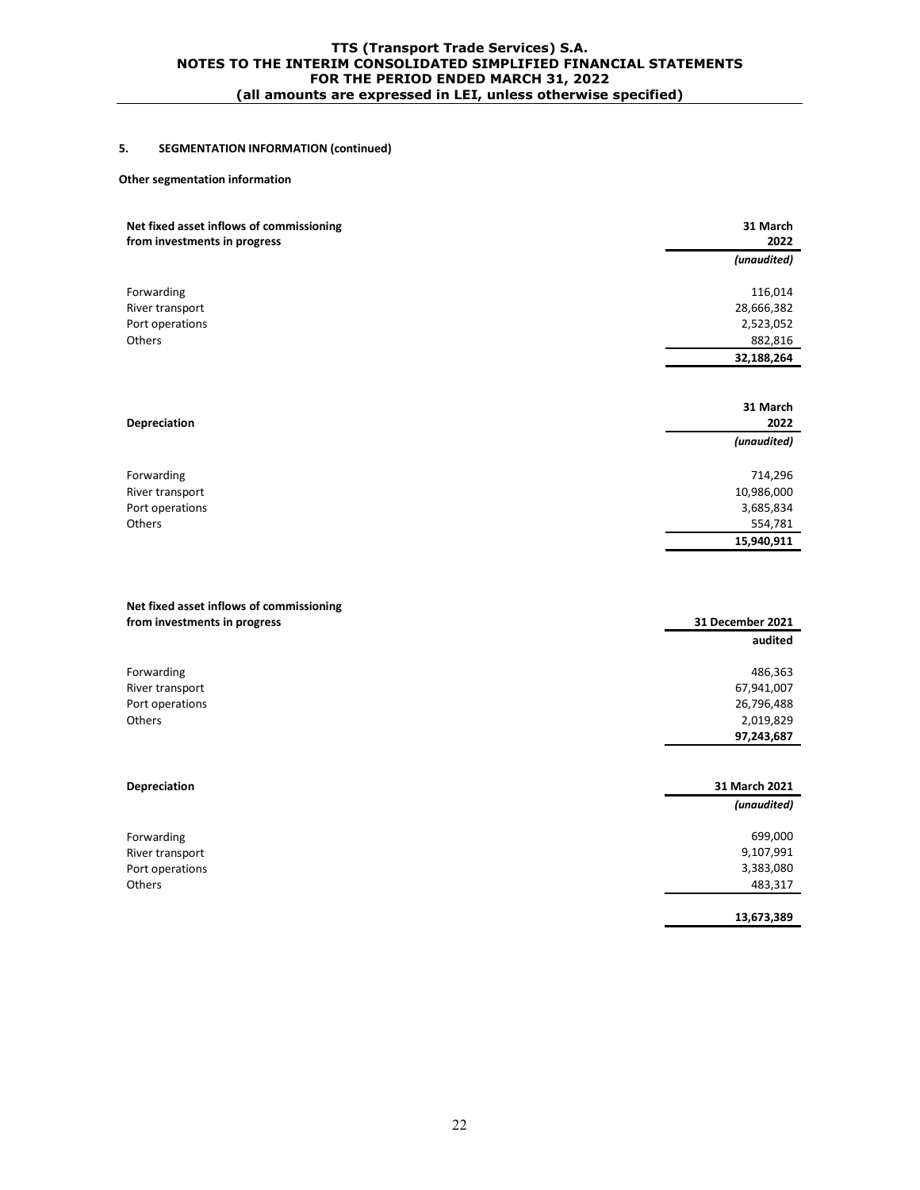# **5. SEGMENTATION INFORMATION (continued)**

#### **Other segmentation information**

| Net fixed asset inflows of commissioning<br>from investments in progress | 31 March<br>2022 |
|--------------------------------------------------------------------------|------------------|
|                                                                          | (unaudited)      |
| Forwarding                                                               | 116,014          |
| River transport                                                          | 28,666,382       |
| Port operations                                                          | 2,523,052        |
| Others                                                                   | 882,816          |
|                                                                          | 32,188,264       |
|                                                                          |                  |
|                                                                          | 31 March         |
| <b>Depreciation</b>                                                      | 2022             |
|                                                                          | (unaudited)      |
| Forwarding                                                               | 714,296          |
| River transport                                                          | 10,986,000       |
| Port operations                                                          | 3,685,834        |
| Others                                                                   | 554,781          |
|                                                                          | 15,940,911       |
| Net fixed asset inflows of commissioning<br>from investments in progress | 31 December 2021 |
|                                                                          | audited          |
| Forwarding                                                               | 486,363          |
| River transport                                                          | 67,941,007       |
| Port operations                                                          | 26,796,488       |
| Others                                                                   | 2,019,829        |
|                                                                          | 97,243,687       |
|                                                                          |                  |
| <b>Depreciation</b>                                                      | 31 March 2021    |
|                                                                          | (unaudited)      |
| Forwarding                                                               | 699,000          |
| River transport                                                          | 9,107,991        |
| Port operations                                                          | 3,383,080        |
| Others                                                                   | 483,317          |
|                                                                          | 13,673,389       |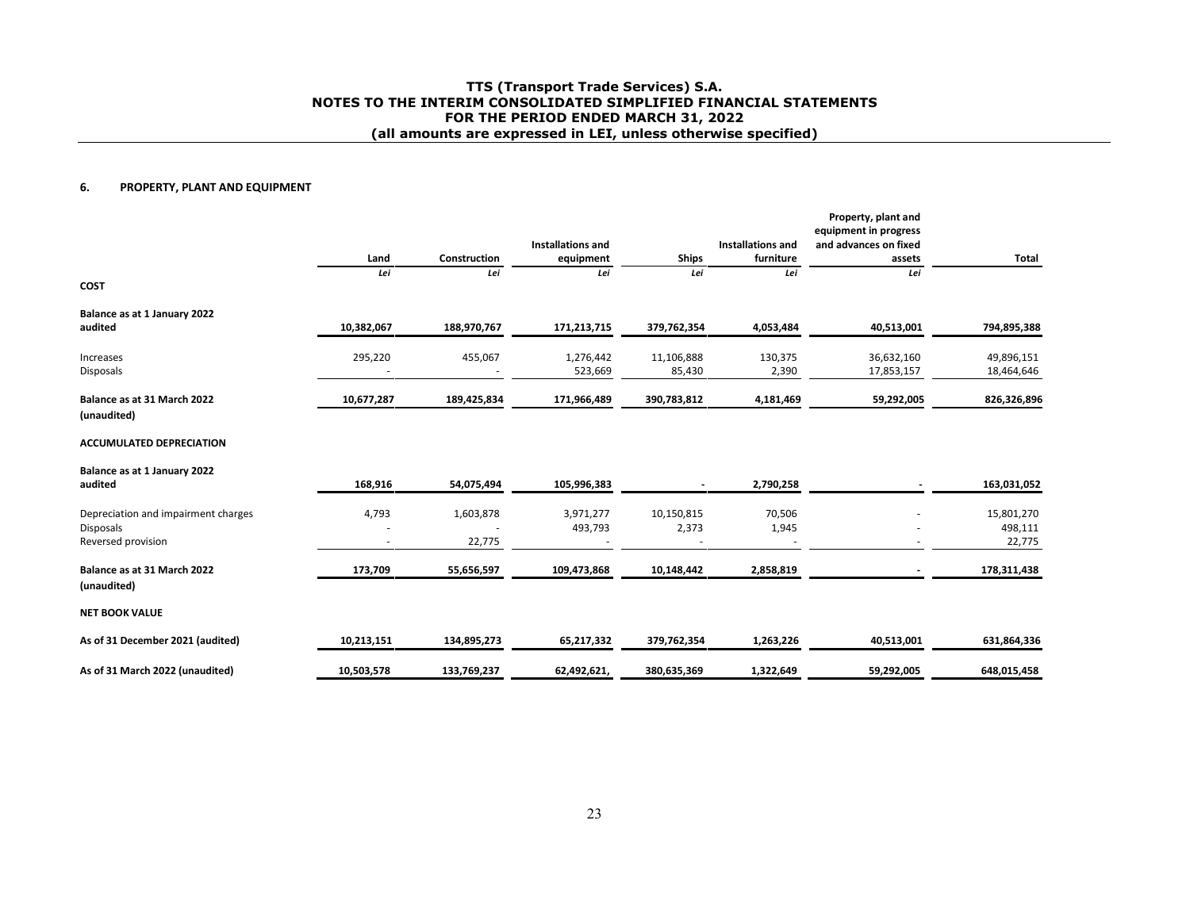#### **6.PROPERTY, PLANT AND EQUIPMENT**

|                                     | Land       | Construction | <b>Installations and</b><br>equipment | <b>Ships</b> | <b>Installations and</b><br>furniture | Property, plant and<br>equipment in progress<br>and advances on fixed<br>assets | Total       |
|-------------------------------------|------------|--------------|---------------------------------------|--------------|---------------------------------------|---------------------------------------------------------------------------------|-------------|
|                                     | Lei        | Lei          | Lei                                   | Lei          | Lei                                   | Lei                                                                             |             |
| <b>COST</b>                         |            |              |                                       |              |                                       |                                                                                 |             |
| Balance as at 1 January 2022        |            |              |                                       |              |                                       |                                                                                 |             |
| audited                             | 10,382,067 | 188,970,767  | 171,213,715                           | 379,762,354  | 4,053,484                             | 40,513,001                                                                      | 794,895,388 |
| Increases                           | 295,220    | 455,067      | 1,276,442                             | 11,106,888   | 130,375                               | 36,632,160                                                                      | 49,896,151  |
| Disposals                           |            |              | 523,669                               | 85,430       | 2,390                                 | 17,853,157                                                                      | 18,464,646  |
| Balance as at 31 March 2022         | 10,677,287 | 189,425,834  | 171,966,489                           | 390,783,812  | 4,181,469                             | 59,292,005                                                                      | 826,326,896 |
| (unaudited)                         |            |              |                                       |              |                                       |                                                                                 |             |
| <b>ACCUMULATED DEPRECIATION</b>     |            |              |                                       |              |                                       |                                                                                 |             |
| Balance as at 1 January 2022        |            |              |                                       |              |                                       |                                                                                 |             |
| audited                             | 168,916    | 54,075,494   | 105,996,383                           |              | 2,790,258                             |                                                                                 | 163,031,052 |
| Depreciation and impairment charges | 4,793      | 1,603,878    | 3,971,277                             | 10,150,815   | 70,506                                |                                                                                 | 15,801,270  |
| <b>Disposals</b>                    |            |              | 493,793                               | 2,373        | 1,945                                 |                                                                                 | 498,111     |
| Reversed provision                  |            | 22,775       |                                       |              |                                       |                                                                                 | 22,775      |
| Balance as at 31 March 2022         | 173,709    | 55,656,597   | 109,473,868                           | 10,148,442   | 2,858,819                             |                                                                                 | 178,311,438 |
| (unaudited)                         |            |              |                                       |              |                                       |                                                                                 |             |
| <b>NET BOOK VALUE</b>               |            |              |                                       |              |                                       |                                                                                 |             |
| As of 31 December 2021 (audited)    | 10,213,151 | 134,895,273  | 65,217,332                            | 379,762,354  | 1,263,226                             | 40,513,001                                                                      | 631,864,336 |
| As of 31 March 2022 (unaudited)     | 10,503,578 | 133,769,237  | 62,492,621,                           | 380,635,369  | 1,322,649                             | 59,292,005                                                                      | 648,015,458 |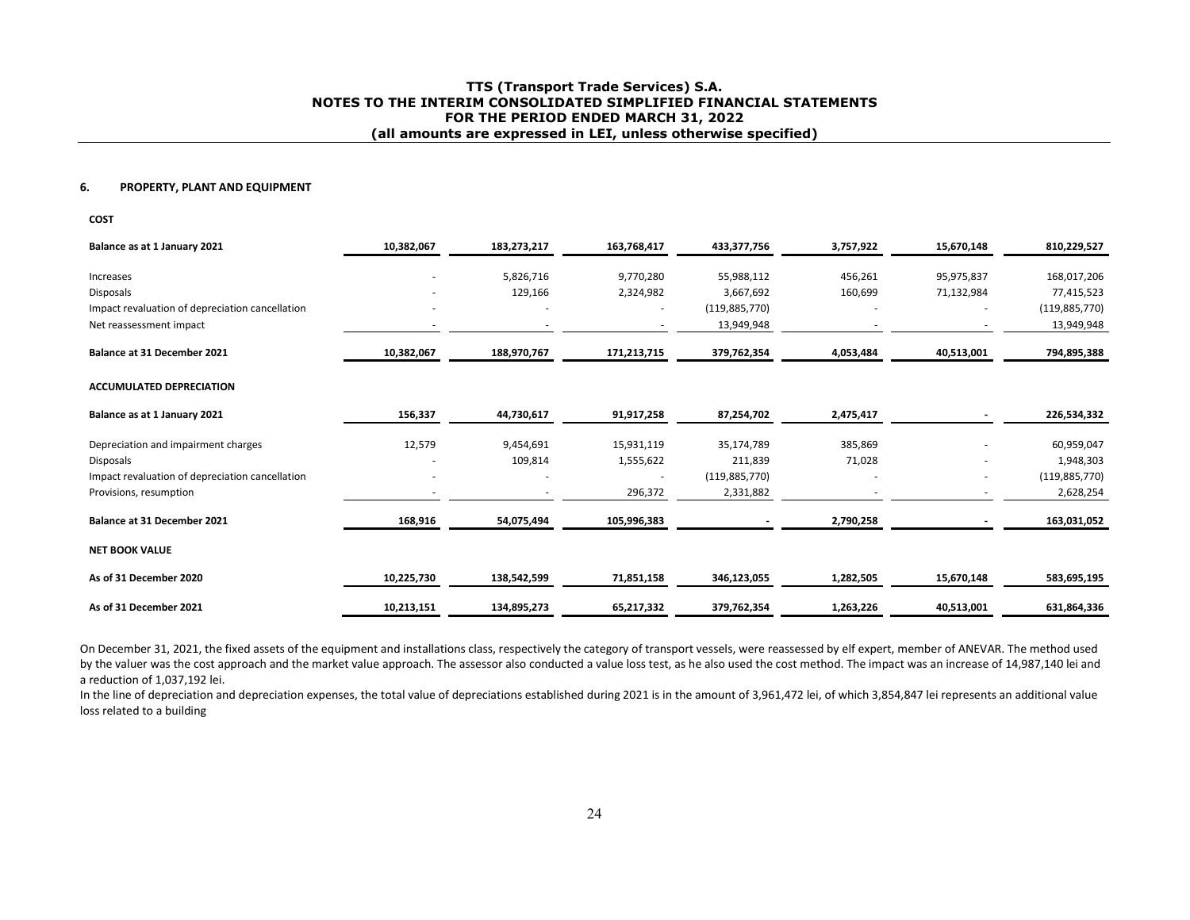#### **6. PROPERTY, PLANT AND EQUIPMENT**

**COST** 

| Balance as at 1 January 2021                    | 10,382,067 | 183,273,217 | 163,768,417 | 433,377,756     | 3,757,922 | 15,670,148 | 810,229,527     |
|-------------------------------------------------|------------|-------------|-------------|-----------------|-----------|------------|-----------------|
| Increases                                       |            | 5,826,716   | 9,770,280   | 55,988,112      | 456,261   | 95,975,837 | 168,017,206     |
| Disposals                                       |            | 129,166     | 2,324,982   | 3,667,692       | 160,699   | 71,132,984 | 77,415,523      |
| Impact revaluation of depreciation cancellation | ٠          |             | ۰           | (119, 885, 770) |           |            | (119, 885, 770) |
| Net reassessment impact                         |            |             |             | 13,949,948      |           |            | 13,949,948      |
|                                                 |            |             |             |                 |           |            |                 |
| <b>Balance at 31 December 2021</b>              | 10,382,067 | 188,970,767 | 171,213,715 | 379,762,354     | 4,053,484 | 40,513,001 | 794,895,388     |
| <b>ACCUMULATED DEPRECIATION</b>                 |            |             |             |                 |           |            |                 |
| Balance as at 1 January 2021                    | 156,337    | 44,730,617  | 91,917,258  | 87,254,702      | 2,475,417 |            | 226,534,332     |
| Depreciation and impairment charges             | 12,579     | 9,454,691   | 15,931,119  | 35,174,789      | 385,869   |            | 60,959,047      |
| <b>Disposals</b>                                |            | 109,814     | 1,555,622   | 211,839         | 71,028    |            | 1,948,303       |
| Impact revaluation of depreciation cancellation |            |             |             | (119,885,770)   |           |            | (119, 885, 770) |
| Provisions, resumption                          |            |             | 296,372     | 2,331,882       |           |            | 2,628,254       |
| <b>Balance at 31 December 2021</b>              | 168,916    | 54,075,494  | 105,996,383 |                 | 2,790,258 |            | 163,031,052     |
| <b>NET BOOK VALUE</b>                           |            |             |             |                 |           |            |                 |
| As of 31 December 2020                          | 10,225,730 | 138,542,599 | 71,851,158  | 346,123,055     | 1,282,505 | 15,670,148 | 583,695,195     |
| As of 31 December 2021                          | 10,213,151 | 134,895,273 | 65,217,332  | 379,762,354     | 1,263,226 | 40,513,001 | 631,864,336     |

On December 31, 2021, the fixed assets of the equipment and installations class, respectively the category of transport vessels, were reassessed by elf expert, member of ANEVAR. The method used by the valuer was the cost approach and the market value approach. The assessor also conducted a value loss test, as he also used the cost method. The impact was an increase of 14,987,140 lei and a reduction of 1,037,192 lei.

In the line of depreciation and depreciation expenses, the total value of depreciations established during 2021 is in the amount of 3,961,472 lei, of which 3,854,847 lei represents an additional value loss related to a building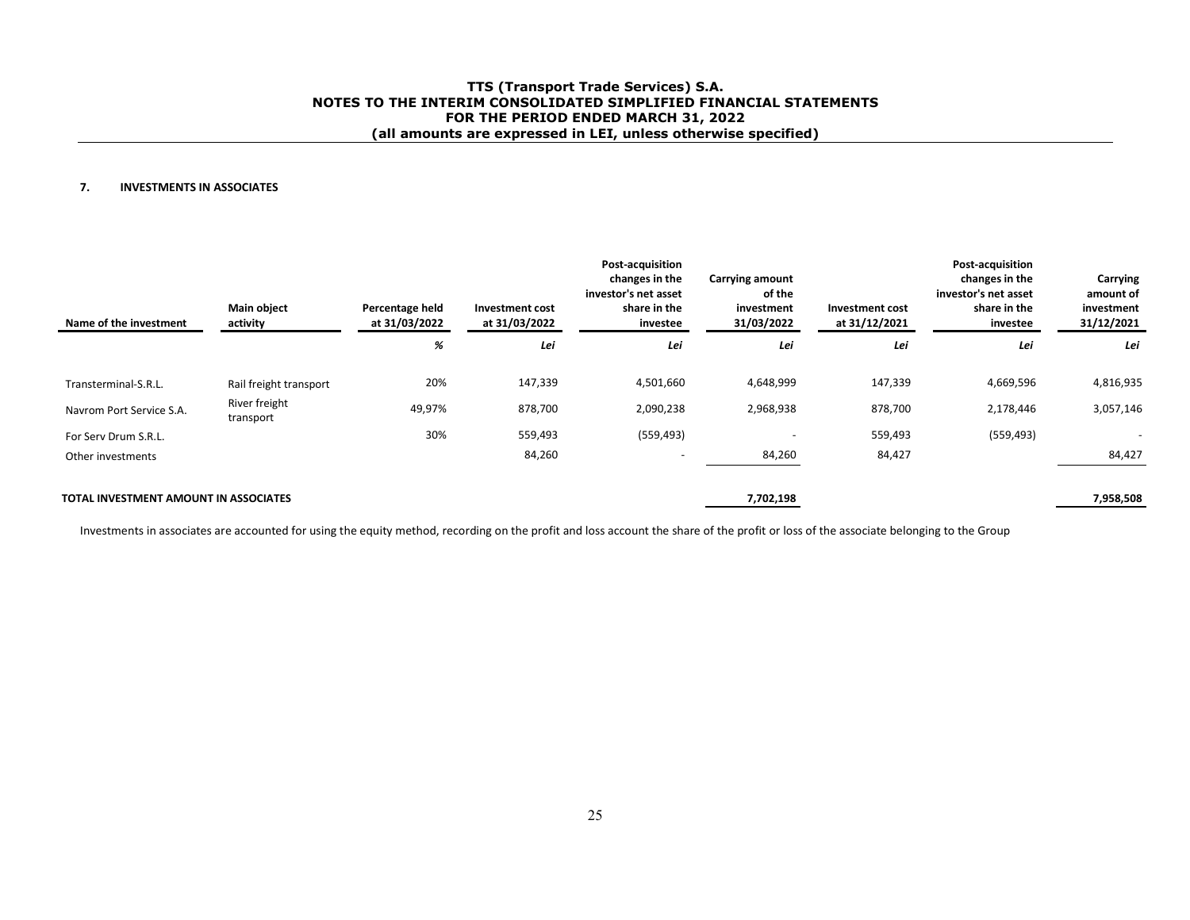#### **7.INVESTMENTS IN ASSOCIATES**

| Name of the investment                       | <b>Main object</b><br>activity | Percentage held<br>at 31/03/2022 | Investment cost<br>at 31/03/2022 | <b>Post-acquisition</b><br>changes in the<br>investor's net asset<br>share in the<br>investee | Carrying amount<br>of the<br>investment<br>31/03/2022 | Investment cost<br>at 31/12/2021 | Post-acquisition<br>changes in the<br>investor's net asset<br>share in the<br>investee | Carrying<br>amount of<br>investment<br>31/12/2021 |
|----------------------------------------------|--------------------------------|----------------------------------|----------------------------------|-----------------------------------------------------------------------------------------------|-------------------------------------------------------|----------------------------------|----------------------------------------------------------------------------------------|---------------------------------------------------|
|                                              |                                | %                                | Lei                              | Lei                                                                                           | Lei                                                   | Lei                              | Lei                                                                                    | Lei                                               |
| Transterminal-S.R.L.                         | Rail freight transport         | 20%                              | 147,339                          | 4,501,660                                                                                     | 4,648,999                                             | 147,339                          | 4,669,596                                                                              | 4,816,935                                         |
| Navrom Port Service S.A.                     | River freight<br>transport     | 49,97%                           | 878,700                          | 2,090,238                                                                                     | 2,968,938                                             | 878,700                          | 2,178,446                                                                              | 3,057,146                                         |
| For Serv Drum S.R.L.                         |                                | 30%                              | 559,493                          | (559, 493)                                                                                    | $\overline{\phantom{a}}$                              | 559,493                          | (559, 493)                                                                             | $\overline{\phantom{a}}$                          |
| Other investments                            |                                |                                  | 84,260                           |                                                                                               | 84,260                                                | 84,427                           |                                                                                        | 84,427                                            |
| <b>TOTAL INVESTMENT AMOUNT IN ASSOCIATES</b> |                                |                                  |                                  |                                                                                               | 7,702,198                                             |                                  |                                                                                        | 7,958,508                                         |

Investments in associates are accounted for using the equity method, recording on the profit and loss account the share of the profit or loss of the associate belonging to the Group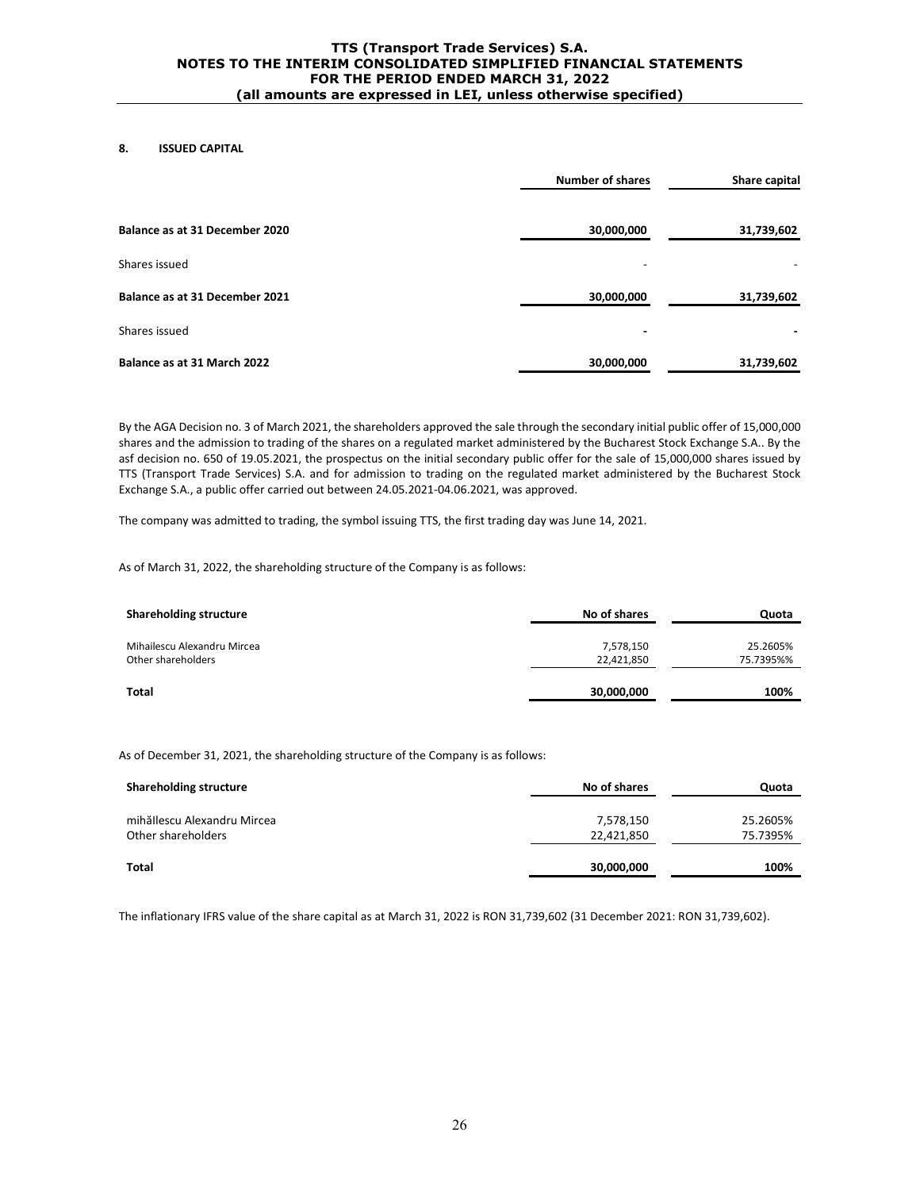# **8. ISSUED CAPITAL**

|                                | <b>Number of shares</b> | Share capital |
|--------------------------------|-------------------------|---------------|
| Balance as at 31 December 2020 | 30,000,000              | 31,739,602    |
| Shares issued                  |                         |               |
| Balance as at 31 December 2021 | 30,000,000              | 31,739,602    |
| Shares issued                  |                         |               |
| Balance as at 31 March 2022    | 30,000,000              | 31,739,602    |

By the AGA Decision no. 3 of March 2021, the shareholders approved the sale through the secondary initial public offer of 15,000,000 shares and the admission to trading of the shares on a regulated market administered by the Bucharest Stock Exchange S.A.. By the asf decision no. 650 of 19.05.2021, the prospectus on the initial secondary public offer for the sale of 15,000,000 shares issued by TTS (Transport Trade Services) S.A. and for admission to trading on the regulated market administered by the Bucharest Stock Exchange S.A., a public offer carried out between 24.05.2021-04.06.2021, was approved.

The company was admitted to trading, the symbol issuing TTS, the first trading day was June 14, 2021.

As of March 31, 2022, the shareholding structure of the Company is as follows:

| <b>Shareholding structure</b>                     | No of shares            | Quota                 |
|---------------------------------------------------|-------------------------|-----------------------|
| Mihailescu Alexandru Mircea<br>Other shareholders | 7,578,150<br>22,421,850 | 25.2605%<br>75.7395%% |
| <b>Total</b>                                      | 30,000,000              | 100%                  |

As of December 31, 2021, the shareholding structure of the Company is as follows:

| <b>Shareholding structure</b>                     | No of shares            | Quota                |
|---------------------------------------------------|-------------------------|----------------------|
| mihăllescu Alexandru Mircea<br>Other shareholders | 7,578,150<br>22,421,850 | 25.2605%<br>75.7395% |
| Total                                             | 30,000,000              | 100%                 |

The inflationary IFRS value of the share capital as at March 31, 2022 is RON 31,739,602 (31 December 2021: RON 31,739,602).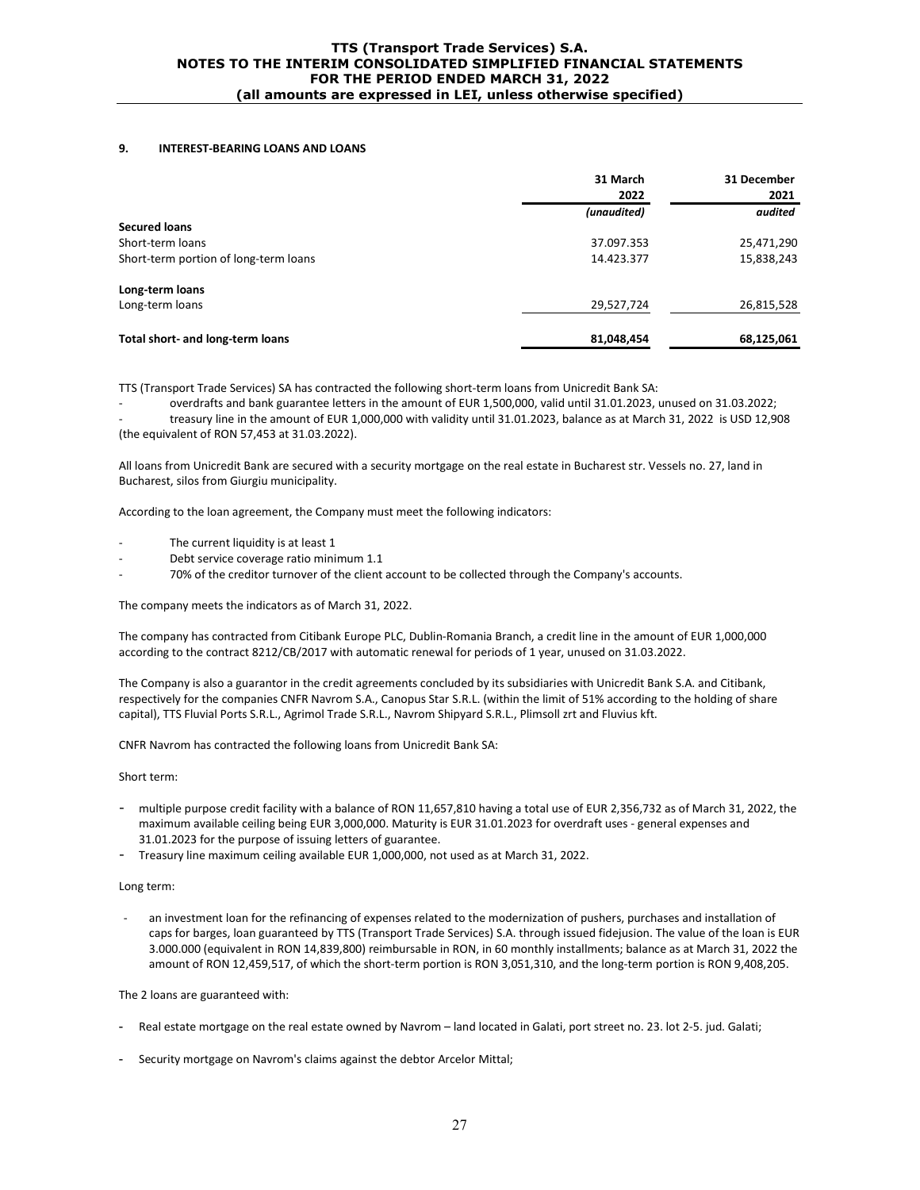#### **9. INTEREST-BEARING LOANS AND LOANS**

|                                       | 31 March<br>2022 | 31 December<br>2021 |
|---------------------------------------|------------------|---------------------|
|                                       | (unaudited)      | audited             |
| <b>Secured loans</b>                  |                  |                     |
| Short-term loans                      | 37.097.353       | 25,471,290          |
| Short-term portion of long-term loans | 14.423.377       | 15,838,243          |
| Long-term loans                       |                  |                     |
| Long-term loans                       | 29,527,724       | 26,815,528          |
| Total short- and long-term loans      | 81,048,454       | 68,125,061          |

TTS (Transport Trade Services) SA has contracted the following short-term loans from Unicredit Bank SA:

overdrafts and bank guarantee letters in the amount of EUR 1,500,000, valid until 31.01.2023, unused on 31.03.2022; - treasury line in the amount of EUR 1,000,000 with validity until 31.01.2023, balance as at March 31, 2022 is USD 12,908 (the equivalent of RON 57,453 at 31.03.2022).

All loans from Unicredit Bank are secured with a security mortgage on the real estate in Bucharest str. Vessels no. 27, land in Bucharest, silos from Giurgiu municipality.

According to the loan agreement, the Company must meet the following indicators:

- The current liquidity is at least 1
- Debt service coverage ratio minimum 1.1
- 70% of the creditor turnover of the client account to be collected through the Company's accounts.

The company meets the indicators as of March 31, 2022.

The company has contracted from Citibank Europe PLC, Dublin-Romania Branch, a credit line in the amount of EUR 1,000,000 according to the contract 8212/CB/2017 with automatic renewal for periods of 1 year, unused on 31.03.2022.

The Company is also a guarantor in the credit agreements concluded by its subsidiaries with Unicredit Bank S.A. and Citibank, respectively for the companies CNFR Navrom S.A., Canopus Star S.R.L. (within the limit of 51% according to the holding of share capital), TTS Fluvial Ports S.R.L., Agrimol Trade S.R.L., Navrom Shipyard S.R.L., Plimsoll zrt and Fluvius kft.

CNFR Navrom has contracted the following loans from Unicredit Bank SA:

Short term:

- multiple purpose credit facility with a balance of RON 11,657,810 having a total use of EUR 2,356,732 as of March 31, 2022, the maximum available ceiling being EUR 3,000,000. Maturity is EUR 31.01.2023 for overdraft uses - general expenses and 31.01.2023 for the purpose of issuing letters of guarantee.
- Treasury line maximum ceiling available EUR 1,000,000, not used as at March 31, 2022.

#### Long term:

an investment loan for the refinancing of expenses related to the modernization of pushers, purchases and installation of caps for barges, loan guaranteed by TTS (Transport Trade Services) S.A. through issued fidejusion. The value of the loan is EUR 3.000.000 (equivalent in RON 14,839,800) reimbursable in RON, in 60 monthly installments; balance as at March 31, 2022 the amount of RON 12,459,517, of which the short-term portion is RON 3,051,310, and the long-term portion is RON 9,408,205.

The 2 loans are guaranteed with:

- Real estate mortgage on the real estate owned by Navrom land located in Galati, port street no. 23. lot 2-5. jud. Galati;
- Security mortgage on Navrom's claims against the debtor Arcelor Mittal;